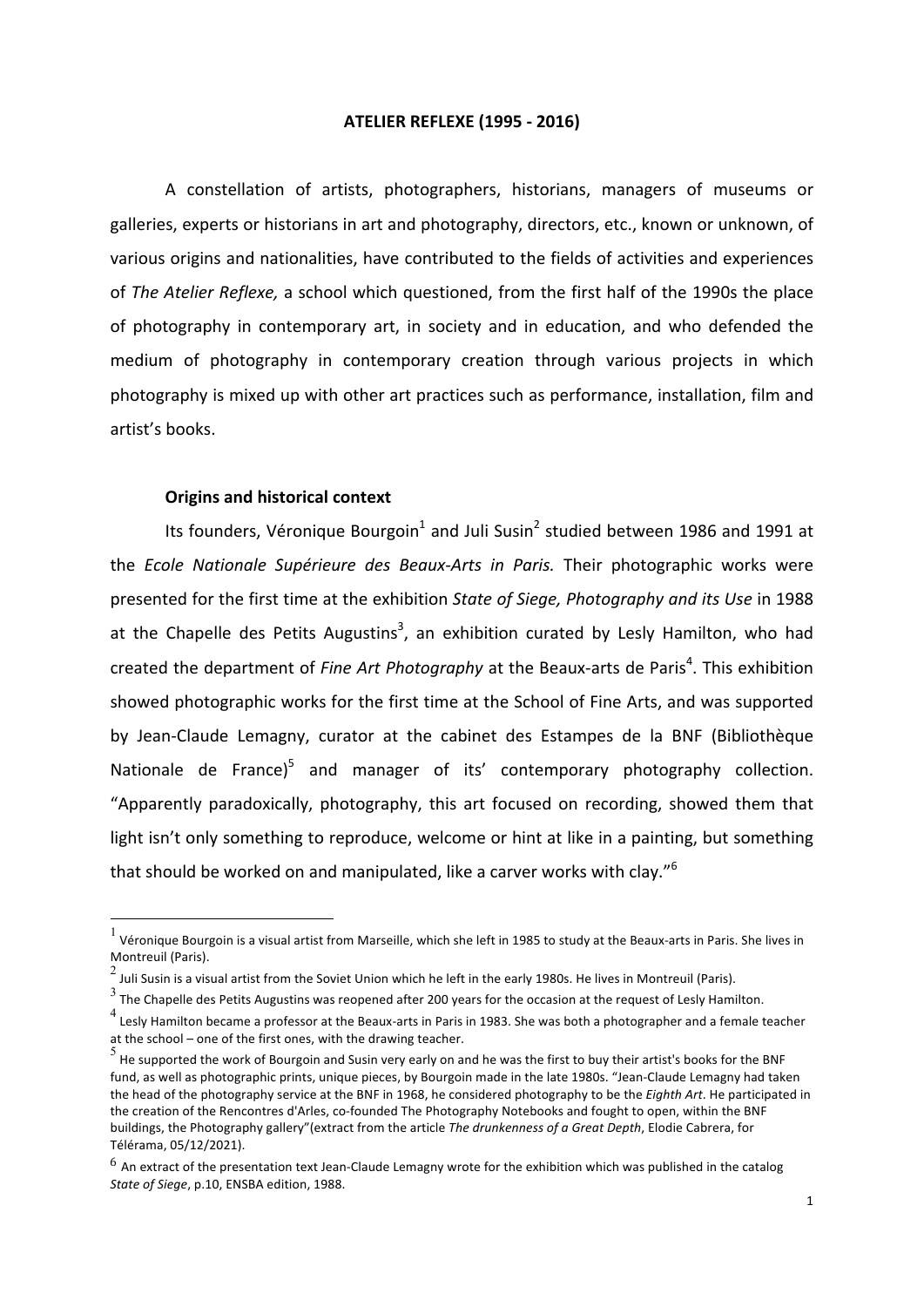#### **ATELIER REFLEXE (1995 - 2016)**

A constellation of artists, photographers, historians, managers of museums or galleries, experts or historians in art and photography, directors, etc., known or unknown, of various origins and nationalities, have contributed to the fields of activities and experiences of *The Atelier Reflexe*, a school which questioned, from the first half of the 1990s the place of photography in contemporary art, in society and in education, and who defended the medium of photography in contemporary creation through various projects in which photography is mixed up with other art practices such as performance, installation, film and artist's books.

## **Origins and historical context**

Its founders, Véronique Bourgoin<sup>1</sup> and Juli Susin<sup>2</sup> studied between 1986 and 1991 at the *Ecole Nationale Supérieure des Beaux-Arts in Paris.* Their photographic works were presented for the first time at the exhibition State of Siege, Photography and its Use in 1988 at the Chapelle des Petits Augustins<sup>3</sup>, an exhibition curated by Lesly Hamilton, who had created the department of *Fine Art Photography* at the Beaux-arts de Paris<sup>4</sup>. This exhibition showed photographic works for the first time at the School of Fine Arts, and was supported by Jean-Claude Lemagny, curator at the cabinet des Estampes de la BNF (Bibliothèque Nationale de France)<sup>5</sup> and manager of its' contemporary photography collection. "Apparently paradoxically, photography, this art focused on recording, showed them that light isn't only something to reproduce, welcome or hint at like in a painting, but something that should be worked on and manipulated, like a carver works with clay."<sup>6</sup>

Véronique Bourgoin is a visual artist from Marseille, which she left in 1985 to study at the Beaux-arts in Paris. She lives in Montreuil (Paris).

 $2\,\text{J}$  Juli Susin is a visual artist from the Soviet Union which he left in the early 1980s. He lives in Montreuil (Paris).

 $\frac{3}{3}$  The Chapelle des Petits Augustins was reopened after 200 years for the occasion at the request of Lesly Hamilton.

 $^4$  Leslv Hamilton became a professor at the Beaux-arts in Paris in 1983. She was both a photographer and a female teacher at the school – one of the first ones, with the drawing teacher.

 $^5$  He supported the work of Bourgoin and Susin very early on and he was the first to buy their artist's books for the BNF fund, as well as photographic prints, unique pieces, by Bourgoin made in the late 1980s. "Jean-Claude Lemagny had taken the head of the photography service at the BNF in 1968, he considered photography to be the *Eighth Art*. He participated in the creation of the Rencontres d'Arles, co-founded The Photography Notebooks and fought to open, within the BNF buildings, the Photography gallery"(extract from the article *The drunkenness of a Great Depth*, Elodie Cabrera, for Télérama, 05/12/2021).

 $^6$  An extract of the presentation text Jean-Claude Lemagny wrote for the exhibition which was published in the catalog State of Siege, p.10, ENSBA edition, 1988.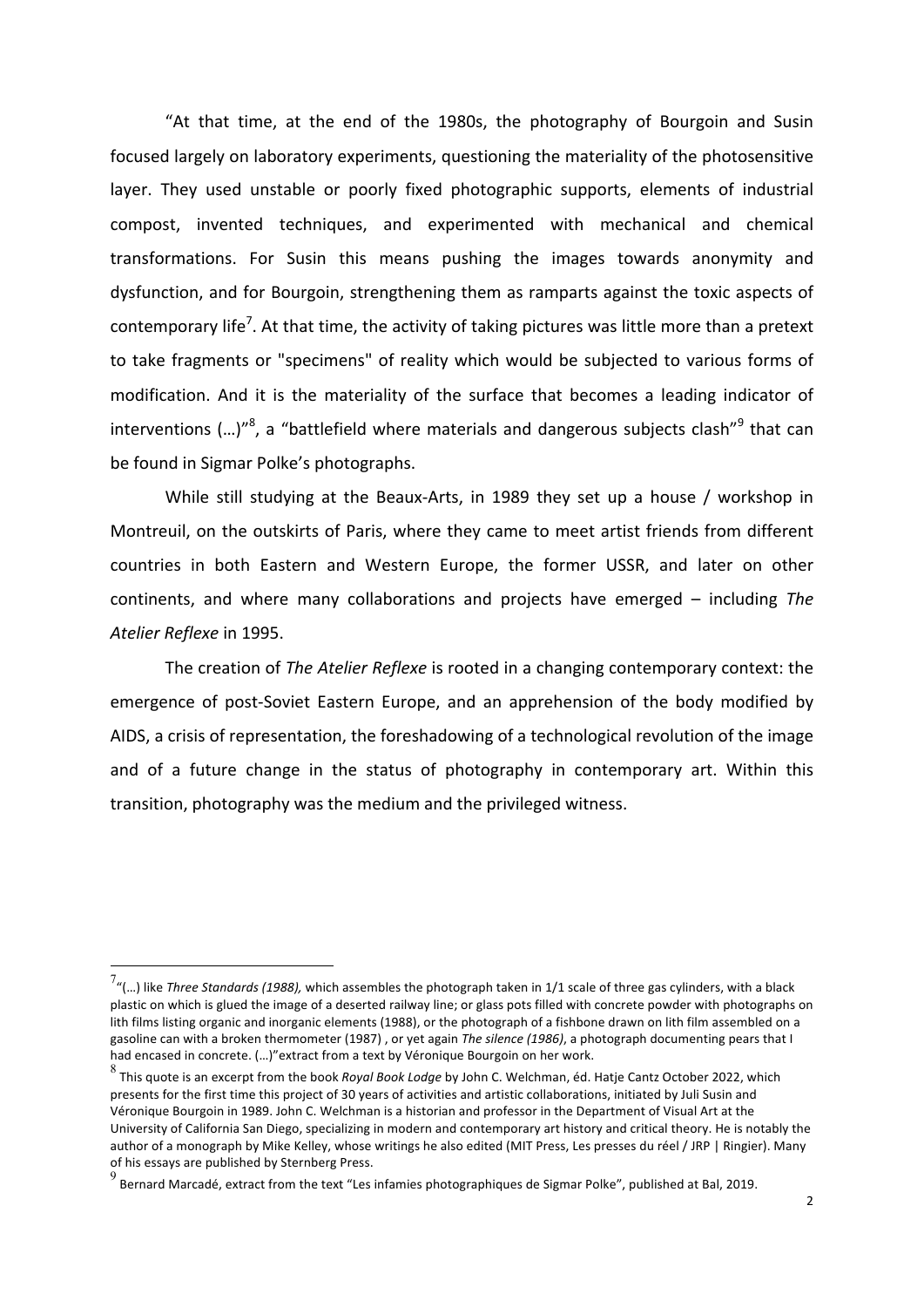"At that time, at the end of the 1980s, the photography of Bourgoin and Susin focused largely on laboratory experiments, questioning the materiality of the photosensitive layer. They used unstable or poorly fixed photographic supports, elements of industrial compost, invented techniques, and experimented with mechanical and chemical transformations. For Susin this means pushing the images towards anonymity and dysfunction, and for Bourgoin, strengthening them as ramparts against the toxic aspects of contemporary life<sup>7</sup>. At that time, the activity of taking pictures was little more than a pretext to take fragments or "specimens" of reality which would be subjected to various forms of modification. And it is the materiality of the surface that becomes a leading indicator of interventions (...)"<sup>8</sup>, a "battlefield where materials and dangerous subjects clash"<sup>9</sup> that can be found in Sigmar Polke's photographs.

While still studying at the Beaux-Arts, in 1989 they set up a house / workshop in Montreuil, on the outskirts of Paris, where they came to meet artist friends from different countries in both Eastern and Western Europe, the former USSR, and later on other continents, and where many collaborations and projects have emerged – including The *Atelier Reflexe* in 1995.

The creation of *The Atelier Reflexe* is rooted in a changing contemporary context: the emergence of post-Soviet Eastern Europe, and an apprehension of the body modified by AIDS, a crisis of representation, the foreshadowing of a technological revolution of the image and of a future change in the status of photography in contemporary art. Within this transition, photography was the medium and the privileged witness.

Tumbled Three Standards (1988), which assembles the photograph taken in 1/1 scale of three gas cylinders, with a black<br>Tumbled Three Standards (1988), which assembles the photograph taken in 1/1 scale of three gas cylinder plastic on which is glued the image of a deserted railway line; or glass pots filled with concrete powder with photographs on lith films listing organic and inorganic elements (1988), or the photograph of a fishbone drawn on lith film assembled on a gasoline can with a broken thermometer (1987) , or yet again The silence (1986), a photograph documenting pears that I had encased in concrete. (...)"extract from a text by Véronique Bourgoin on her work.

<sup>8&</sup>lt;br>This quote is an excerpt from the book *Royal Book Lodge* by John C. Welchman, éd. Hatje Cantz October 2022, which presents for the first time this project of 30 years of activities and artistic collaborations, initiated by Juli Susin and Véronique Bourgoin in 1989. John C. Welchman is a historian and professor in the Department of Visual Art at the University of California San Diego, specializing in modern and contemporary art history and critical theory. He is notably the author of a monograph by Mike Kelley, whose writings he also edited (MIT Press, Les presses du réel / JRP | Ringier). Many of his essays are published by Sternberg Press.

 $^9$  Bernard Marcadé, extract from the text "Les infamies photographiques de Sigmar Polke", published at Bal, 2019.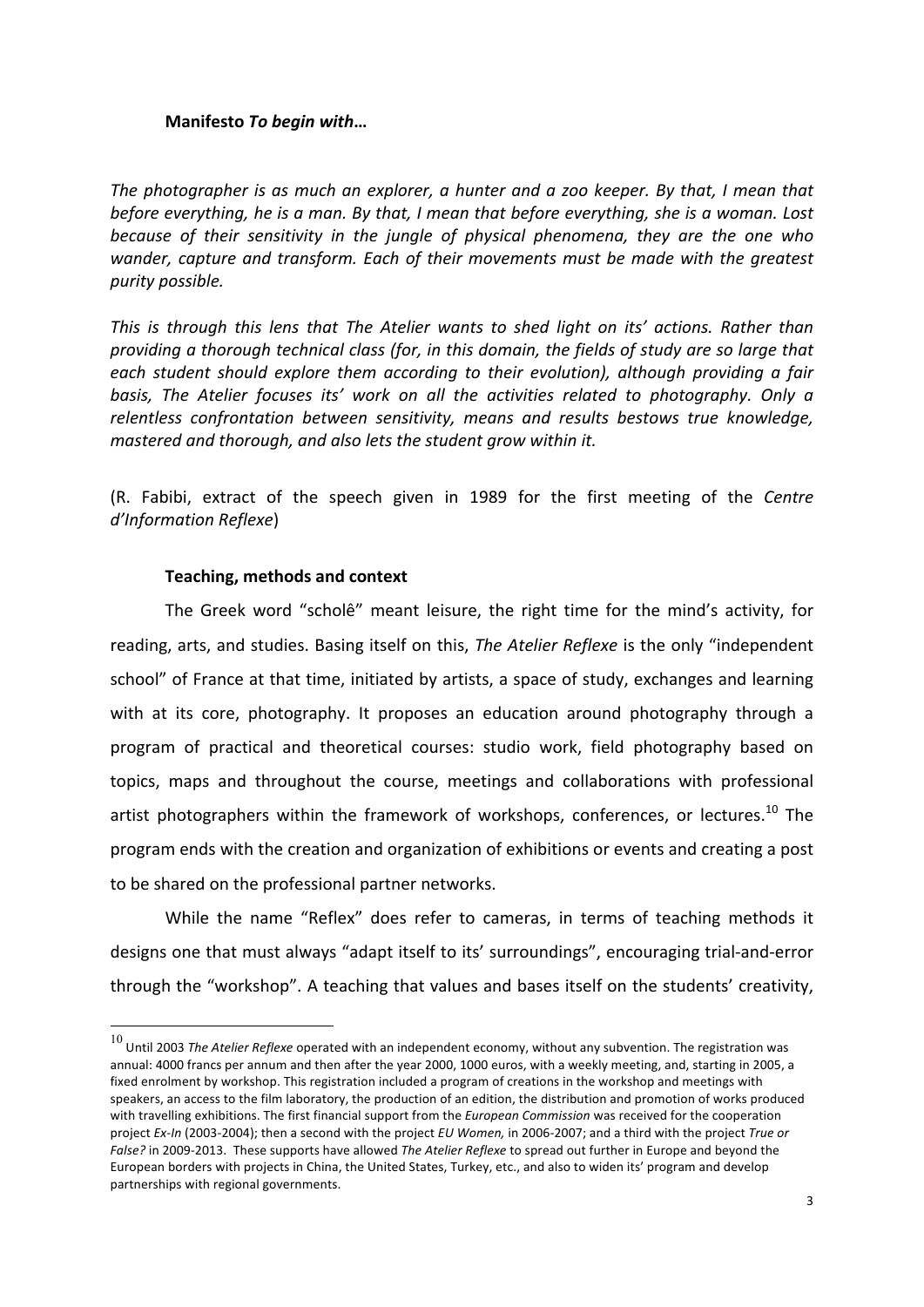# **Manifesto To begin with...**

*The photographer is as much an explorer, a hunter and a zoo keeper. By that, I mean that before everything, he is a man. By that, I mean that before everything, she is a woman. Lost because* of their sensitivity in the jungle of physical phenomena, they are the one who *wander, capture and transform. Each of their movements must be made with the greatest purity possible.*

*This* is through this lens that The Atelier wants to shed light on its' actions. Rather than *providing a thorough technical class (for, in this domain, the fields of study are so large that* each student should explore them according to their evolution), although providing a fair *basis,* The Atelier focuses its' work on all the activities related to photography. Only a relentless confrontation between sensitivity, means and results bestows true knowledge, *mastered and thorough, and also lets the student grow within it.* 

(R. Fabibi, extract of the speech given in 1989 for the first meeting of the *Centre d'Information Reflexe*)

# **Teaching, methods and context**

The Greek word "scholê" meant leisure, the right time for the mind's activity, for reading, arts, and studies. Basing itself on this, *The Atelier Reflexe* is the only "independent school" of France at that time, initiated by artists, a space of study, exchanges and learning with at its core, photography. It proposes an education around photography through a program of practical and theoretical courses: studio work, field photography based on topics, maps and throughout the course, meetings and collaborations with professional artist photographers within the framework of workshops, conferences, or lectures.<sup>10</sup> The program ends with the creation and organization of exhibitions or events and creating a post to be shared on the professional partner networks.

While the name "Reflex" does refer to cameras, in terms of teaching methods it designs one that must always "adapt itself to its' surroundings", encouraging trial-and-error through the "workshop". A teaching that values and bases itself on the students' creativity,

 $^{10}$  Until 2003 *The Atelier Reflexe* operated with an independent economy, without any subvention. The registration was annual: 4000 francs per annum and then after the year 2000, 1000 euros, with a weekly meeting, and, starting in 2005, a fixed enrolment by workshop. This registration included a program of creations in the workshop and meetings with speakers, an access to the film laboratory, the production of an edition, the distribution and promotion of works produced with travelling exhibitions. The first financial support from the *European Commission* was received for the cooperation project *Ex-In* (2003-2004); then a second with the project *EU Women*, in 2006-2007; and a third with the project *True or False?* in 2009-2013. These supports have allowed *The Atelier Reflexe* to spread out further in Europe and beyond the European borders with projects in China, the United States, Turkey, etc., and also to widen its' program and develop partnerships with regional governments.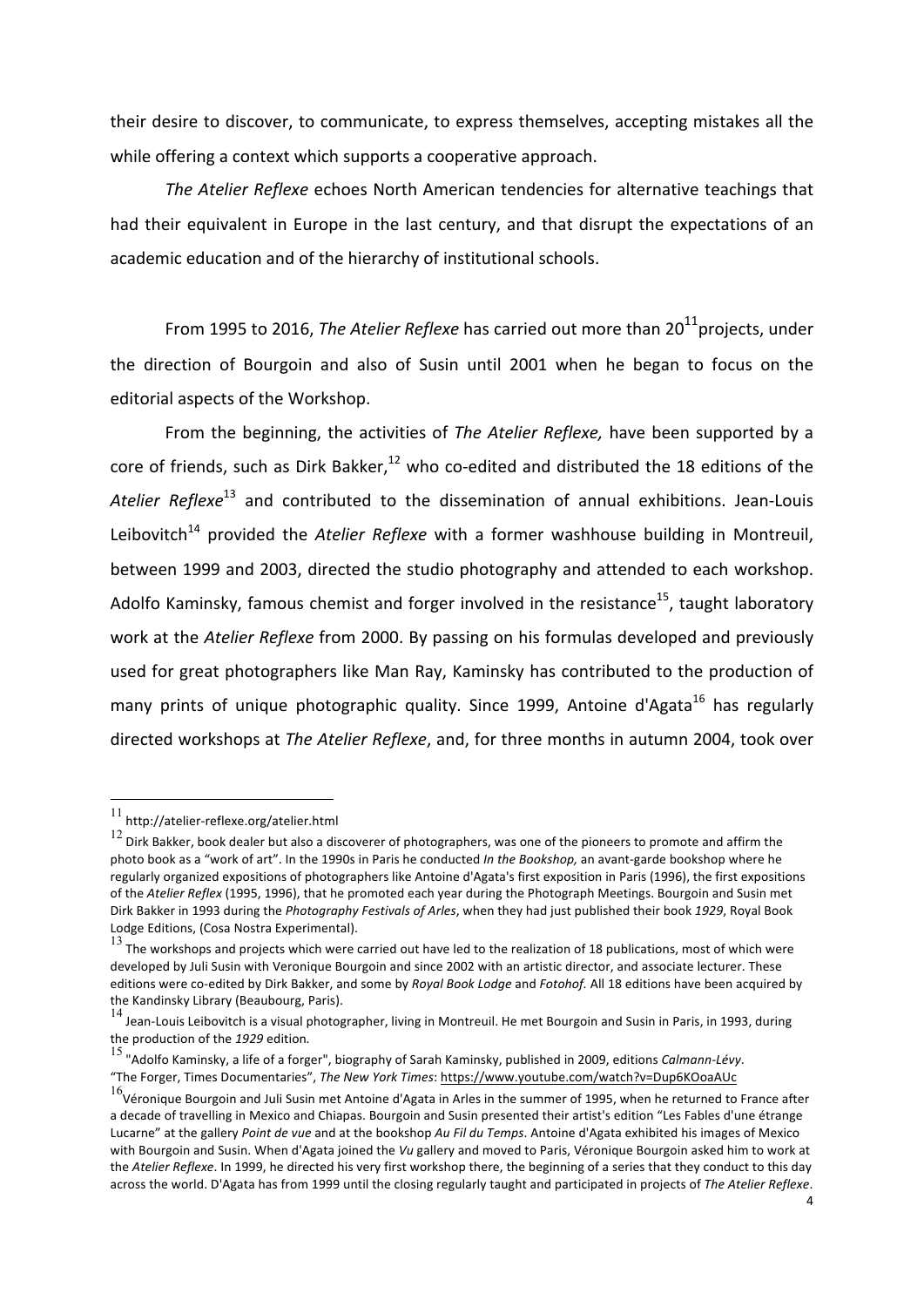their desire to discover, to communicate, to express themselves, accepting mistakes all the while offering a context which supports a cooperative approach.

The Atelier Reflexe echoes North American tendencies for alternative teachings that had their equivalent in Europe in the last century, and that disrupt the expectations of an academic education and of the hierarchy of institutional schools.

From 1995 to 2016, *The Atelier Reflexe* has carried out more than 20<sup>11</sup> projects, under the direction of Bourgoin and also of Susin until 2001 when he began to focus on the editorial aspects of the Workshop.

From the beginning, the activities of *The Atelier Reflexe*, have been supported by a core of friends, such as Dirk Bakker, $^{12}$  who co-edited and distributed the 18 editions of the Atelier Reflexe<sup>13</sup> and contributed to the dissemination of annual exhibitions. Jean-Louis Leibovitch<sup>14</sup> provided the *Atelier Reflexe* with a former washhouse building in Montreuil, between 1999 and 2003, directed the studio photography and attended to each workshop. Adolfo Kaminsky, famous chemist and forger involved in the resistance<sup>15</sup>, taught laboratory work at the *Atelier Reflexe* from 2000. By passing on his formulas developed and previously used for great photographers like Man Ray, Kaminsky has contributed to the production of many prints of unique photographic quality. Since 1999, Antoine d'Agata<sup>16</sup> has regularly directed workshops at *The Atelier Reflexe*, and, for three months in autumn 2004, took over

 $^{11}$  http://atelier-reflexe.org/atelier.html

 $12$  Dirk Bakker, book dealer but also a discoverer of photographers, was one of the pioneers to promote and affirm the photo book as a "work of art". In the 1990s in Paris he conducted *In the Bookshop*, an avant-garde bookshop where he regularly organized expositions of photographers like Antoine d'Agata's first exposition in Paris (1996), the first expositions of the *Atelier Reflex* (1995, 1996), that he promoted each year during the Photograph Meetings. Bourgoin and Susin met Dirk Bakker in 1993 during the *Photography Festivals of Arles*, when they had just published their book 1929, Royal Book Lodge Editions, (Cosa Nostra Experimental).

 $13$  The workshops and projects which were carried out have led to the realization of 18 publications, most of which were developed by Juli Susin with Veronique Bourgoin and since 2002 with an artistic director, and associate lecturer. These editions were co-edited by Dirk Bakker, and some by *Royal Book Lodge* and *Fotohof.* All 18 editions have been acquired by the Kandinsky Library (Beaubourg, Paris).

<sup>14</sup> Jean-Louis Leibovitch is a visual photographer, living in Montreuil. He met Bourgoin and Susin in Paris, in 1993, during the production of the 1929 edition.<br><sup>15</sup> "Adolfo Kaminsky, a life of a forger", biography of Sarah Kaminsky, published in 2009, editions *Calmann-Lévy*.

<sup>&</sup>quot;The Forger, Times Documentaries", The New York Times: https://www.youtube.com/watch?v=Dup6KOoaAUc

 $^{16}$ Véronique Bourgoin and Juli Susin met Antoine d'Agata in Arles in the summer of 1995, when he returned to France after a decade of travelling in Mexico and Chiapas. Bourgoin and Susin presented their artist's edition "Les Fables d'une étrange Lucarne" at the gallery *Point de vue* and at the bookshop *Au Fil du Temps*. Antoine d'Agata exhibited his images of Mexico with Bourgoin and Susin. When d'Agata joined the *Vu* gallery and moved to Paris, Véronique Bourgoin asked him to work at the *Atelier Reflexe*. In 1999, he directed his very first workshop there, the beginning of a series that they conduct to this day across the world. D'Agata has from 1999 until the closing regularly taught and participated in projects of The Atelier Reflexe.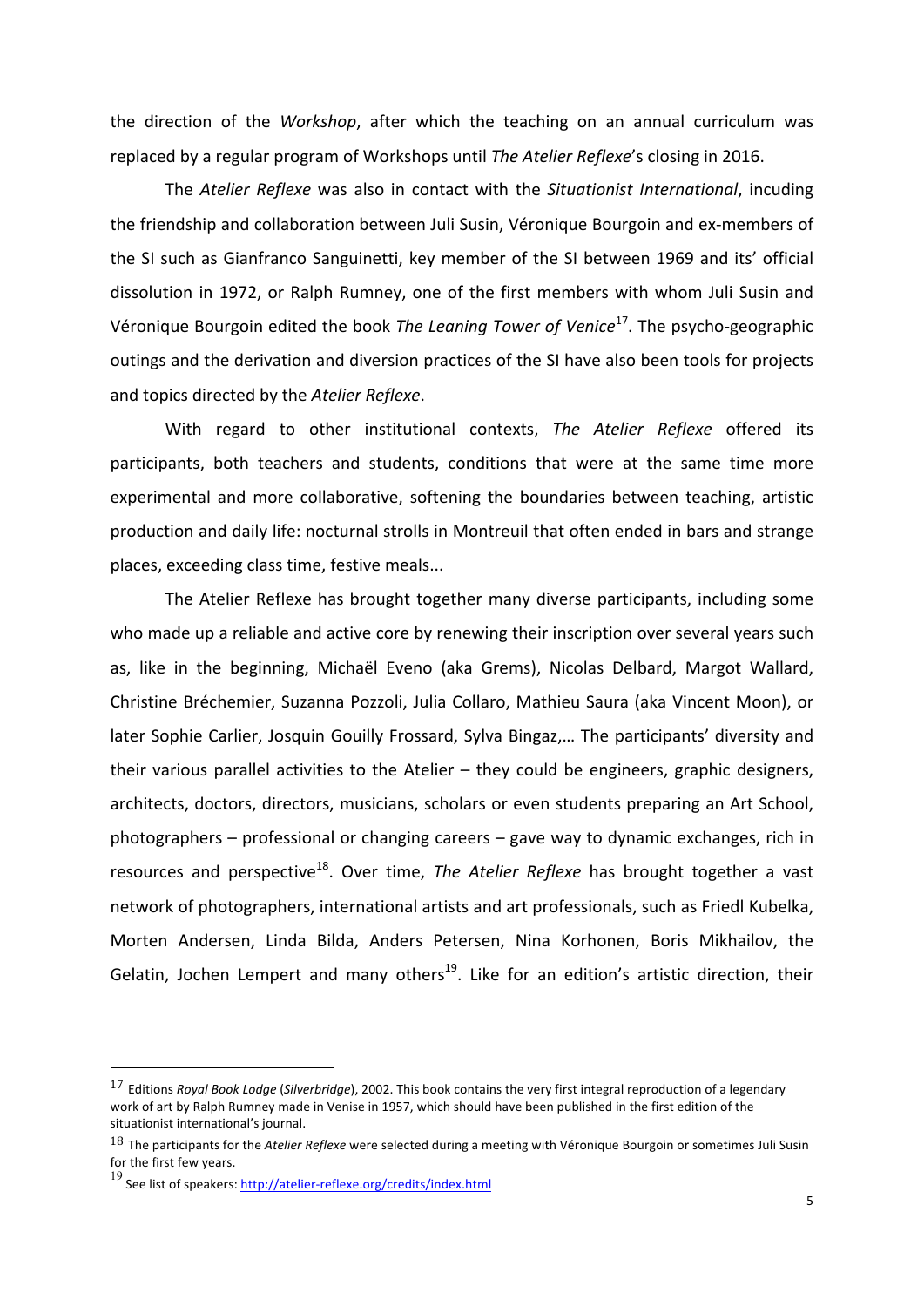the direction of the *Workshop*, after which the teaching on an annual curriculum was replaced by a regular program of Workshops until *The Atelier Reflexe's* closing in 2016.

The *Atelier Reflexe* was also in contact with the *Situationist International*, incuding the friendship and collaboration between Juli Susin, Véronique Bourgoin and ex-members of the SI such as Gianfranco Sanguinetti, key member of the SI between 1969 and its' official dissolution in 1972, or Ralph Rumney, one of the first members with whom Juli Susin and Véronique Bourgoin edited the book *The Leaning Tower of Venice*<sup>17</sup>. The psycho-geographic outings and the derivation and diversion practices of the SI have also been tools for projects and topics directed by the Atelier Reflexe.

With regard to other institutional contexts, The Atelier Reflexe offered its participants, both teachers and students, conditions that were at the same time more experimental and more collaborative, softening the boundaries between teaching, artistic production and daily life: nocturnal strolls in Montreuil that often ended in bars and strange places, exceeding class time, festive meals...

The Atelier Reflexe has brought together many diverse participants, including some who made up a reliable and active core by renewing their inscription over several years such as, like in the beginning, Michaël Eveno (aka Grems), Nicolas Delbard, Margot Wallard, Christine Bréchemier, Suzanna Pozzoli, Julia Collaro, Mathieu Saura (aka Vincent Moon), or later Sophie Carlier, Josquin Gouilly Frossard, Sylva Bingaz,... The participants' diversity and their various parallel activities to the Atelier  $-$  they could be engineers, graphic designers, architects, doctors, directors, musicians, scholars or even students preparing an Art School, photographers  $-$  professional or changing careers  $-$  gave way to dynamic exchanges, rich in resources and perspective<sup>18</sup>. Over time, *The Atelier Reflexe* has brought together a vast network of photographers, international artists and art professionals, such as Friedl Kubelka, Morten Andersen, Linda Bilda, Anders Petersen, Nina Korhonen, Boris Mikhailov, the Gelatin, Jochen Lempert and many others<sup>19</sup>. Like for an edition's artistic direction, their

<sup>&</sup>lt;sup>17</sup> Editions *Royal Book Lodge* (*Silverbridge*), 2002. This book contains the very first integral reproduction of a legendary work of art by Ralph Rumney made in Venise in 1957, which should have been published in the first edition of the situationist international's iournal.

<sup>18</sup> The participants for the Atelier Reflexe were selected during a meeting with Véronique Bourgoin or sometimes Juli Susin for the first few years.

<sup>19</sup> See list of speakers: http://atelier-reflexe.org/credits/index.html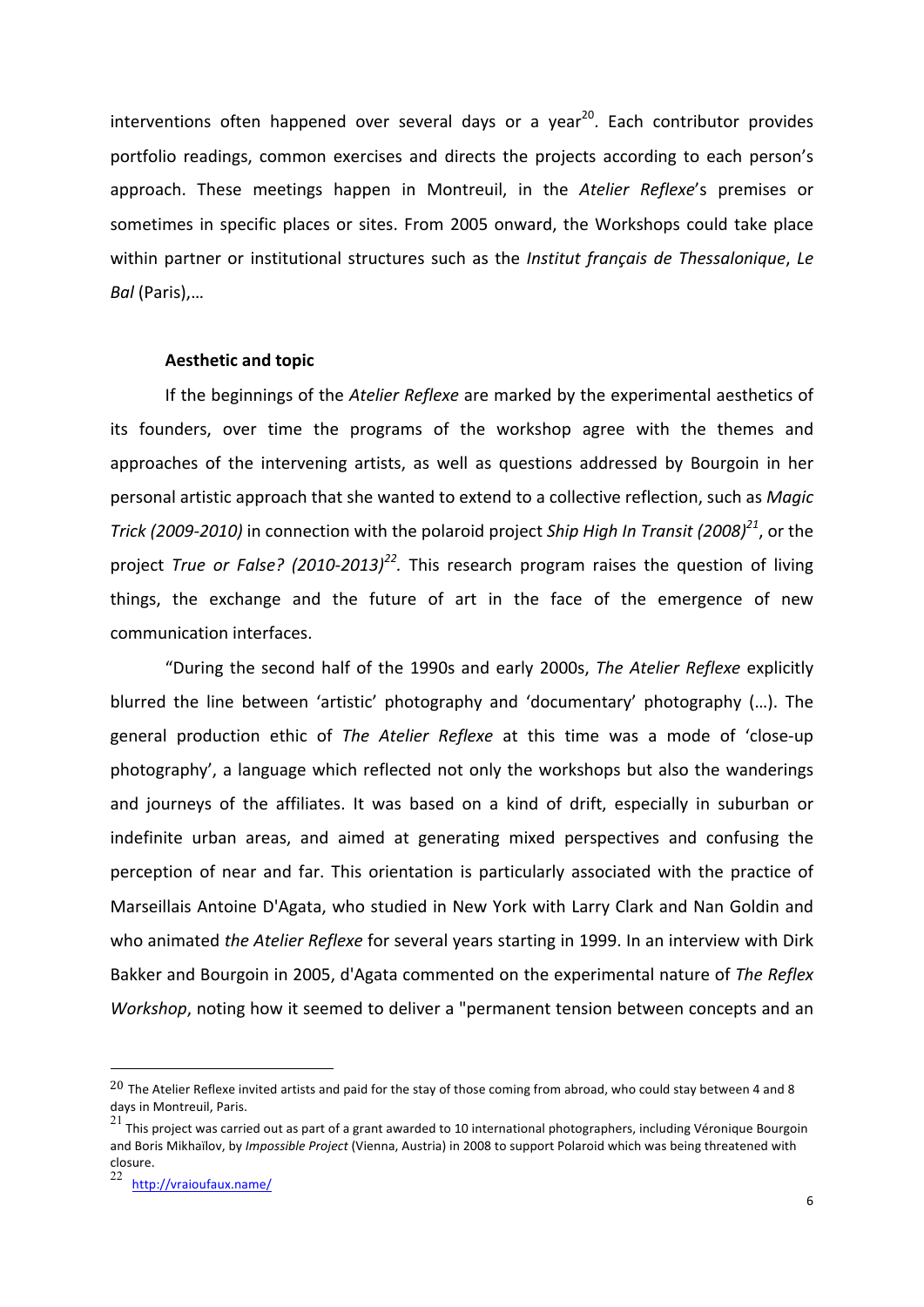interventions often happened over several days or a year<sup>20</sup>. Each contributor provides portfolio readings, common exercises and directs the projects according to each person's approach. These meetings happen in Montreuil, in the Atelier Reflexe's premises or sometimes in specific places or sites. From 2005 onward, the Workshops could take place within partner or institutional structures such as the *Institut français de Thessalonique*, Le *Bal* (Paris),…

## **Aesthetic and topic**

If the beginnings of the *Atelier Reflexe* are marked by the experimental aesthetics of its founders, over time the programs of the workshop agree with the themes and approaches of the intervening artists, as well as questions addressed by Bourgoin in her personal artistic approach that she wanted to extend to a collective reflection, such as Magic *Trick* (2009-2010) in connection with the polaroid project *Ship High In Transit* (2008)<sup>21</sup>, or the project *True or False?* (2010-2013)<sup>22</sup>. This research program raises the question of living things, the exchange and the future of art in the face of the emergence of new communication interfaces.

"During the second half of the 1990s and early 2000s, The Atelier Reflexe explicitly blurred the line between 'artistic' photography and 'documentary' photography (...). The general production ethic of The Atelier Reflexe at this time was a mode of 'close-up photography', a language which reflected not only the workshops but also the wanderings and journeys of the affiliates. It was based on a kind of drift, especially in suburban or indefinite urban areas, and aimed at generating mixed perspectives and confusing the perception of near and far. This orientation is particularly associated with the practice of Marseillais Antoine D'Agata, who studied in New York with Larry Clark and Nan Goldin and who animated *the Atelier Reflexe* for several years starting in 1999. In an interview with Dirk Bakker and Bourgoin in 2005, d'Agata commented on the experimental nature of The Reflex *Workshop*, noting how it seemed to deliver a "permanent tension between concepts and an

 $20$  The Atelier Reflexe invited artists and paid for the stay of those coming from abroad, who could stay between 4 and 8 days in Montreuil, Paris.

<sup>21&</sup>lt;br>21 This project was carried out as part of a grant awarded to 10 international photographers, including Véronique Bourgoin and Boris Mikhaïlov, by *Impossible Project* (Vienna, Austria) in 2008 to support Polaroid which was being threatened with closure.

http://vraioufaux.name/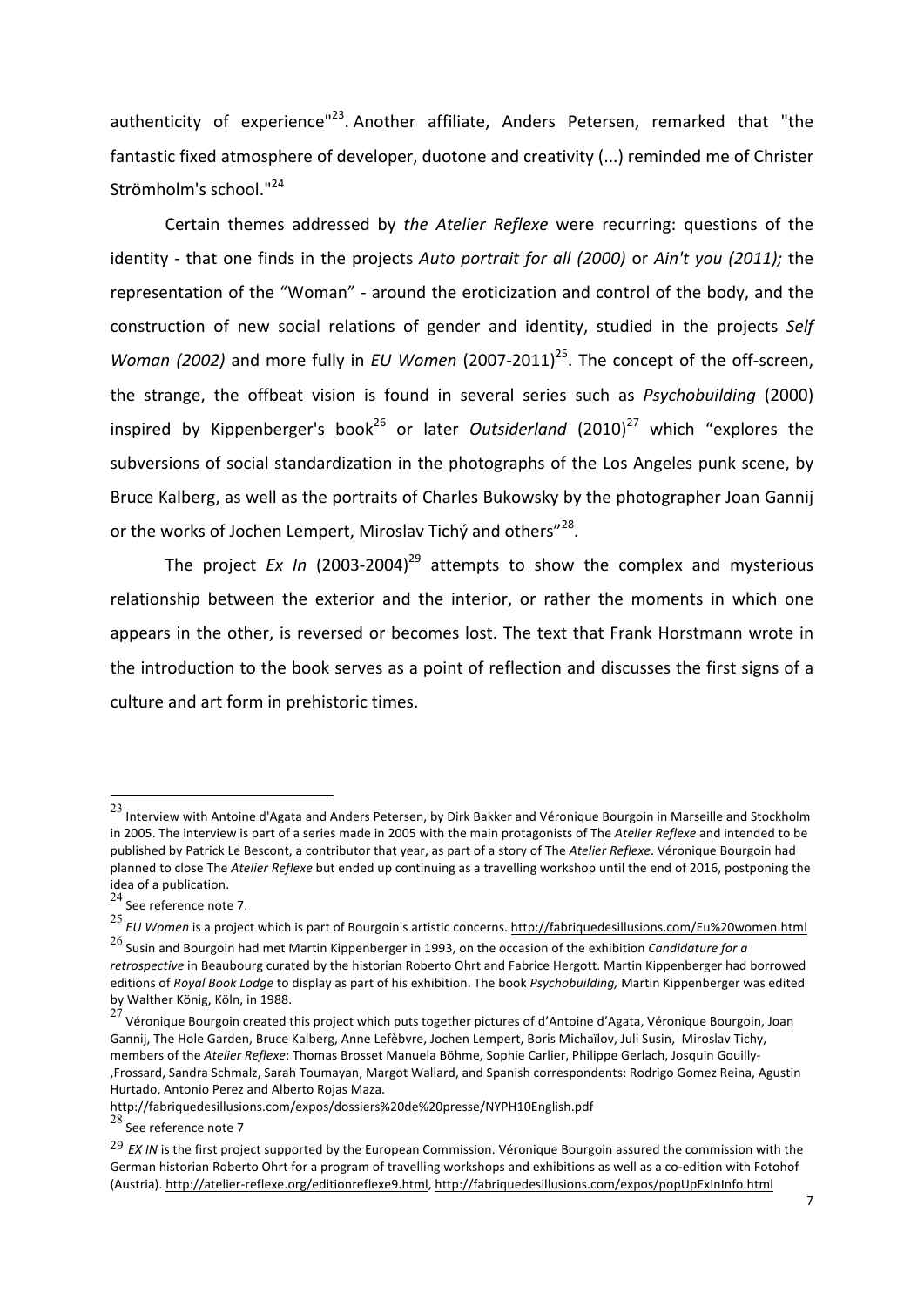authenticity of experience"<sup>23</sup>. Another affiliate, Anders Petersen, remarked that "the fantastic fixed atmosphere of developer, duotone and creativity (...) reminded me of Christer Strömholm's school."<sup>24</sup>

Certain themes addressed by the Atelier Reflexe were recurring: questions of the identity - that one finds in the projects *Auto portrait for all (2000)* or *Ain't you (2011);* the representation of the "Woman" - around the eroticization and control of the body, and the construction of new social relations of gender and identity, studied in the projects Self *Woman (2002)* and more fully in *EU Women* (2007-2011)<sup>25</sup>. The concept of the off-screen, the strange, the offbeat vision is found in several series such as *Psychobuilding* (2000) inspired by Kippenberger's book<sup>26</sup> or later *Outsiderland* (2010)<sup>27</sup> which "explores the subversions of social standardization in the photographs of the Los Angeles punk scene, by Bruce Kalberg, as well as the portraits of Charles Bukowsky by the photographer Joan Gannij or the works of Jochen Lempert, Miroslav Tichý and others"<sup>28</sup>.

The project *Ex In* (2003-2004)<sup>29</sup> attempts to show the complex and mysterious relationship between the exterior and the interior, or rather the moments in which one appears in the other, is reversed or becomes lost. The text that Frank Horstmann wrote in the introduction to the book serves as a point of reflection and discusses the first signs of a culture and art form in prehistoric times.

 $^{23}$  Interview with Antoine d'Agata and Anders Petersen, by Dirk Bakker and Véronique Bourgoin in Marseille and Stockholm in 2005. The interview is part of a series made in 2005 with the main protagonists of The Atelier Reflexe and intended to be published by Patrick Le Bescont, a contributor that year, as part of a story of The Atelier Reflexe. Véronique Bourgoin had planned to close The *Atelier Reflexe* but ended up continuing as a travelling workshop until the end of 2016, postponing the idea of a publication.

 $24$  See reference note 7.

<sup>&</sup>lt;sup>25</sup> *EU Women* is a project which is part of Bourgoin's artistic concerns. http://fabriquedesillusions.com/Eu%20women.html

<sup>&</sup>lt;sup>26</sup> Susin and Bourgoin had met Martin Kippenberger in 1993, on the occasion of the exhibition *Candidature for a* retrospective in Beaubourg curated by the historian Roberto Ohrt and Fabrice Hergott. Martin Kippenberger had borrowed editions of *Royal Book Lodge* to display as part of his exhibition. The book *Psychobuilding*, Martin Kippenberger was edited by Walther König, Köln, in 1988.

<sup>27&</sup>lt;br>27 Véronique Bourgoin created this project which puts together pictures of d'Antoine d'Agata, Véronique Bourgoin, Joan Gannij, The Hole Garden, Bruce Kalberg, Anne Lefèbvre, Jochen Lempert, Boris Michaïlov, Juli Susin, Miroslav Tichy, members of the Atelier Reflexe: Thomas Brosset Manuela Böhme, Sophie Carlier, Philippe Gerlach, Josquin Gouilly-,Frossard, Sandra Schmalz, Sarah Toumayan, Margot Wallard, and Spanish correspondents: Rodrigo Gomez Reina, Agustin Hurtado, Antonio Perez and Alberto Rojas Maza.

http://fabriquedesillusions.com/expos/dossiers%20de%20presse/NYPH10English.pdf 

 $28$  See reference note 7

<sup>&</sup>lt;sup>29</sup> *EX IN* is the first project supported by the European Commission. Véronique Bourgoin assured the commission with the German historian Roberto Ohrt for a program of travelling workshops and exhibitions as well as a co-edition with Fotohof (Austria). http://atelier-reflexe.org/editionreflexe9.html, http://fabriquedesillusions.com/expos/popUpExInInfo.html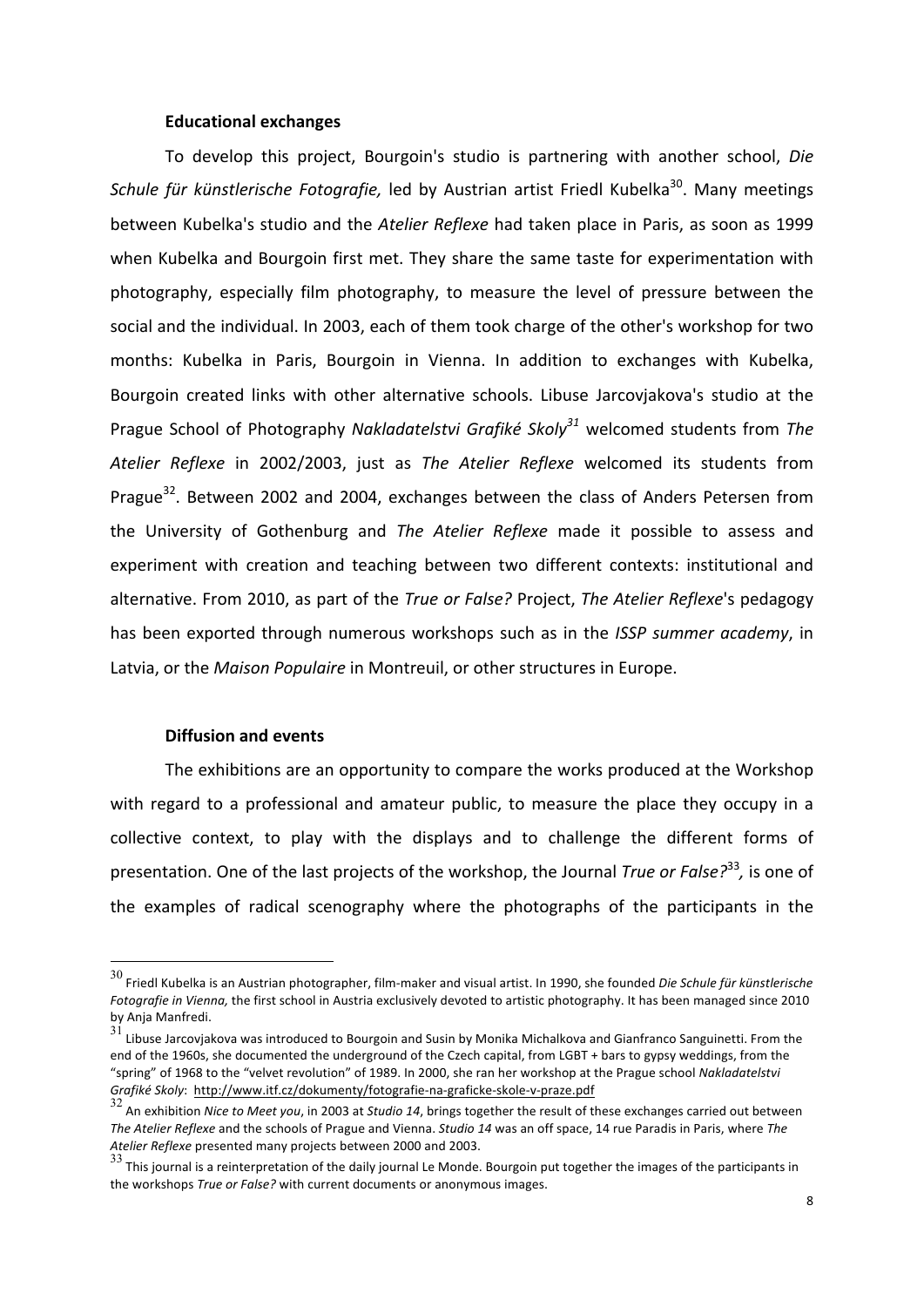### **Educational exchanges**

To develop this project, Bourgoin's studio is partnering with another school, *Die* Schule für künstlerische Fotografie, led by Austrian artist Friedl Kubelka<sup>30</sup>. Many meetings between Kubelka's studio and the *Atelier Reflexe* had taken place in Paris, as soon as 1999 when Kubelka and Bourgoin first met. They share the same taste for experimentation with photography, especially film photography, to measure the level of pressure between the social and the individual. In 2003, each of them took charge of the other's workshop for two months: Kubelka in Paris, Bourgoin in Vienna. In addition to exchanges with Kubelka, Bourgoin created links with other alternative schools. Libuse Jarcovjakova's studio at the Prague School of Photography *Nakladatelstvi Grafiké Skoly*<sup>31</sup> welcomed students from *The Atelier Reflexe* in 2002/2003, just as *The Atelier Reflexe* welcomed its students from Prague<sup>32</sup>. Between 2002 and 2004, exchanges between the class of Anders Petersen from the University of Gothenburg and *The Atelier Reflexe* made it possible to assess and experiment with creation and teaching between two different contexts: institutional and alternative. From 2010, as part of the *True or False?* Project, *The Atelier Reflexe's* pedagogy has been exported through numerous workshops such as in the *ISSP summer academy*, in Latvia, or the *Maison Populaire* in Montreuil, or other structures in Europe.

#### **Diffusion and events**

The exhibitions are an opportunity to compare the works produced at the Workshop with regard to a professional and amateur public, to measure the place they occupy in a collective context, to play with the displays and to challenge the different forms of presentation. One of the last projects of the workshop, the Journal *True or False*?<sup>33</sup>, is one of the examples of radical scenography where the photographs of the participants in the

 $30$  Friedl Kubelka is an Austrian photographer, film-maker and visual artist. In 1990, she founded *Die Schule für künstlerische Fotografie in Vienna,* the first school in Austria exclusively devoted to artistic photography. It has been managed since 2010 by Anja Manfredi.

 $31$  Libuse Jarcovjakova was introduced to Bourgoin and Susin by Monika Michalkova and Gianfranco Sanguinetti. From the end of the 1960s, she documented the underground of the Czech capital, from LGBT + bars to gypsy weddings, from the "spring" of 1968 to the "velvet revolution" of 1989. In 2000, she ran her workshop at the Prague school Nakladatelstvi Grafiké Skoly: http://www.itf.cz/dokumenty/fotografie-na-graficke-skole-v-praze.pdf

<sup>32</sup> An exhibition *Nice to Meet you*, in 2003 at *Studio 14*, brings together the result of these exchanges carried out between The Atelier Reflexe and the schools of Prague and Vienna. Studio 14 was an off space, 14 rue Paradis in Paris, where The Atelier Reflexe presented many projects between 2000 and 2003.

<sup>33</sup> This journal is a reinterpretation of the daily journal Le Monde. Bourgoin put together the images of the participants in the workshops *True or False?* with current documents or anonymous images.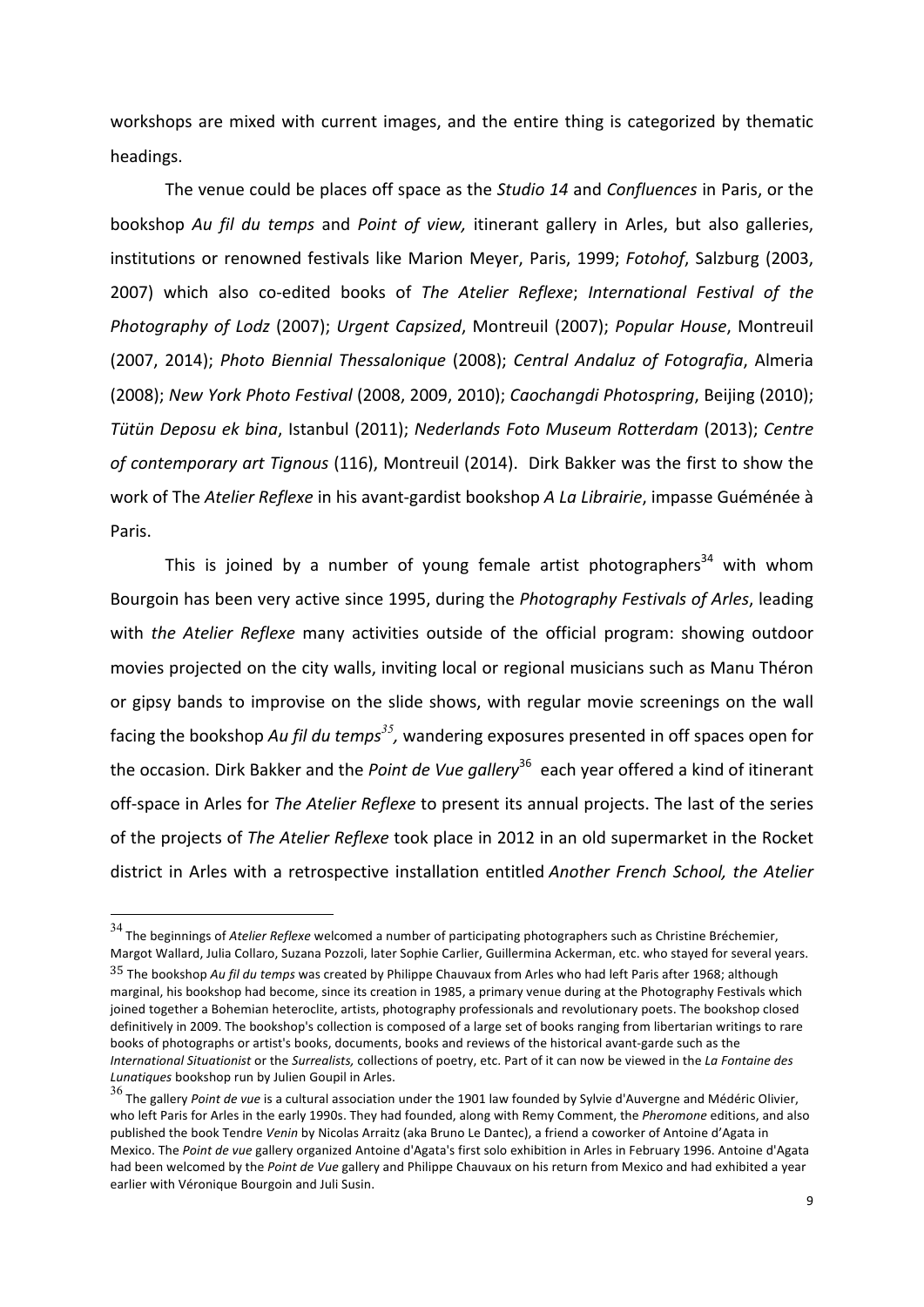workshops are mixed with current images, and the entire thing is categorized by thematic headings.

The venue could be places off space as the *Studio 14* and *Confluences* in Paris, or the bookshop Au fil du temps and Point of view, itinerant gallery in Arles, but also galleries, institutions or renowned festivals like Marion Meyer, Paris, 1999; Fotohof, Salzburg (2003, 2007) which also co-edited books of The Atelier Reflexe; International Festival of the *Photography of Lodz* (2007); *Urgent Capsized*, Montreuil (2007); *Popular House*, Montreuil (2007, 2014); *Photo Biennial Thessalonique* (2008); *Central Andaluz of Fotografia*, Almeria (2008); New York Photo Festival (2008, 2009, 2010); *Caochangdi Photospring*, Beijing (2010); *Tütün Deposu ek bina*, Istanbul (2011); *Nederlands Foto Museum Rotterdam* (2013); *Centre*  of contemporary art Tignous (116), Montreuil (2014). Dirk Bakker was the first to show the work of The *Atelier Reflexe* in his avant-gardist bookshop *A La Librairie*, impasse Guéménée à Paris.

This is joined by a number of young female artist photographers<sup>34</sup> with whom Bourgoin has been very active since 1995, during the Photography Festivals of Arles, leading with *the Atelier Reflexe* many activities outside of the official program: showing outdoor movies projected on the city walls, inviting local or regional musicians such as Manu Théron or gipsy bands to improvise on the slide shows, with regular movie screenings on the wall facing the bookshop Au fil du temps<sup>35</sup>, wandering exposures presented in off spaces open for the occasion. Dirk Bakker and the *Point de Vue gallery*<sup>36</sup> each year offered a kind of itinerant off-space in Arles for *The Atelier Reflexe* to present its annual projects. The last of the series of the projects of *The Atelier Reflexe* took place in 2012 in an old supermarket in the Rocket district in Arles with a retrospective installation entitled *Another French School, the Atelier* 

<sup>&</sup>lt;sup>34</sup> The beginnings of *Atelier Reflexe* welcomed a number of participating photographers such as Christine Bréchemier, Margot Wallard, Julia Collaro, Suzana Pozzoli, later Sophie Carlier, Guillermina Ackerman, etc. who stayed for several years. <sup>35</sup> The bookshop Au fil du temps was created by Philippe Chauvaux from Arles who had left Paris after 1968; although marginal, his bookshop had become, since its creation in 1985, a primary venue during at the Photography Festivals which joined together a Bohemian heteroclite, artists, photography professionals and revolutionary poets. The bookshop closed definitively in 2009. The bookshop's collection is composed of a large set of books ranging from libertarian writings to rare books of photographs or artist's books, documents, books and reviews of the historical avant-garde such as the *International Situationist* or the *Surrealists*, collections of poetry, etc. Part of it can now be viewed in the *La Fontaine des* Lunatiques bookshop run by Julien Goupil in Arles.

<sup>&</sup>lt;sup>36</sup> The gallery *Point de vue* is a cultural association under the 1901 law founded by Sylvie d'Auvergne and Médéric Olivier, who left Paris for Arles in the early 1990s. They had founded, along with Remy Comment, the *Pheromone* editions, and also published the book Tendre *Venin* by Nicolas Arraitz (aka Bruno Le Dantec), a friend a coworker of Antoine d'Agata in Mexico. The *Point de vue* gallery organized Antoine d'Agata's first solo exhibition in Arles in February 1996. Antoine d'Agata had been welcomed by the *Point de Vue* gallery and Philippe Chauvaux on his return from Mexico and had exhibited a year earlier with Véronique Bourgoin and Juli Susin.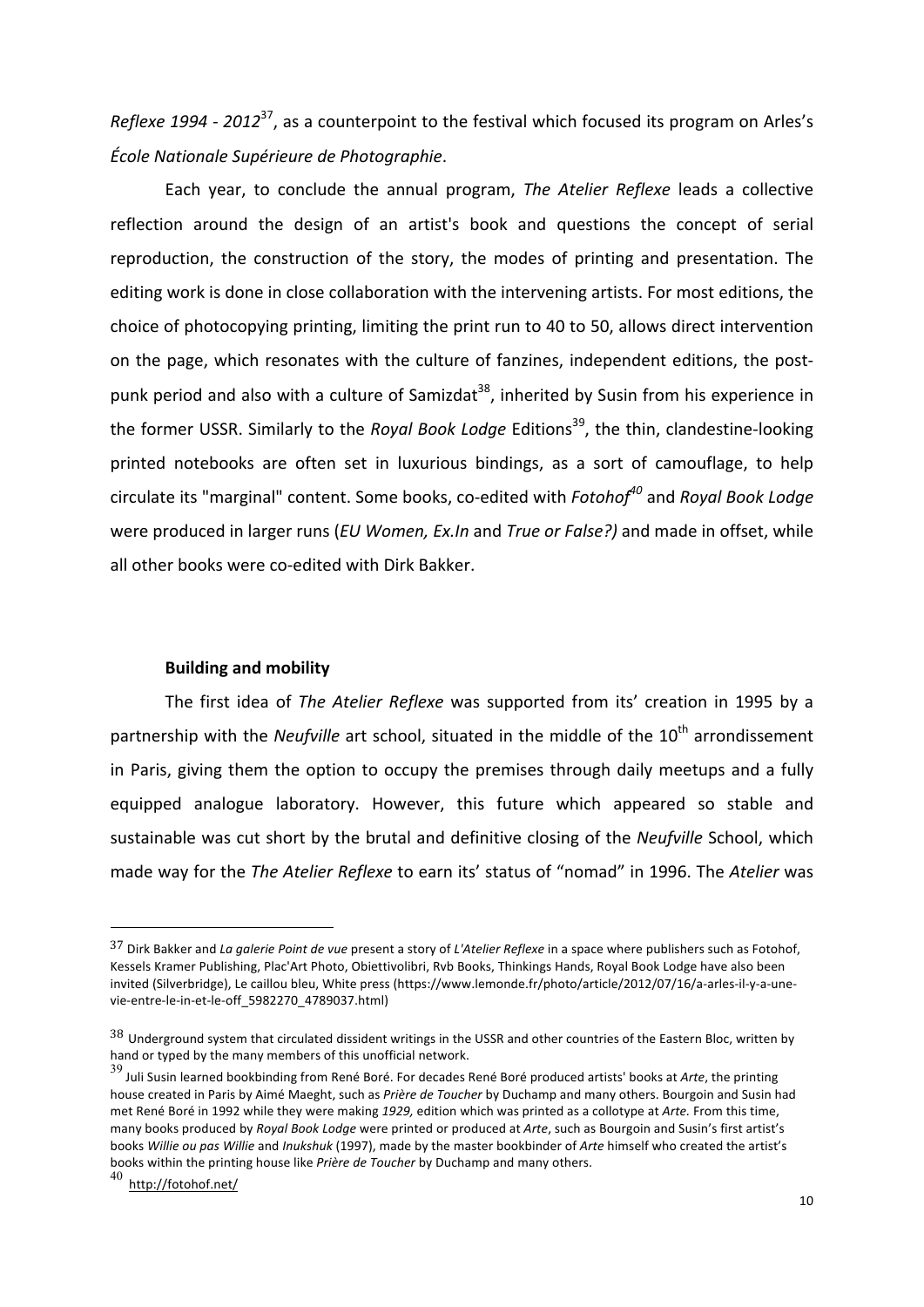*Reflexe* 1994 - 2012<sup>37</sup>, as a counterpoint to the festival which focused its program on Arles's *École Nationale Supérieure de Photographie*. 

Each year, to conclude the annual program, *The Atelier Reflexe* leads a collective reflection around the design of an artist's book and questions the concept of serial reproduction, the construction of the story, the modes of printing and presentation. The editing work is done in close collaboration with the intervening artists. For most editions, the choice of photocopying printing, limiting the print run to 40 to 50, allows direct intervention on the page, which resonates with the culture of fanzines, independent editions, the postpunk period and also with a culture of Samizdat<sup>38</sup>, inherited by Susin from his experience in the former USSR. Similarly to the *Royal Book Lodge* Editions<sup>39</sup>, the thin, clandestine-looking printed notebooks are often set in luxurious bindings, as a sort of camouflage, to help circulate its "marginal" content. Some books, co-edited with *Fotohof<sup>40</sup>* and *Royal Book Lodge* were produced in larger runs (*EU Women, Ex.In* and *True or False?*) and made in offset, while all other books were co-edited with Dirk Bakker.

## **Building and mobility**

The first idea of *The Atelier Reflexe* was supported from its' creation in 1995 by a partnership with the *Neufville* art school, situated in the middle of the 10<sup>th</sup> arrondissement in Paris, giving them the option to occupy the premises through daily meetups and a fully equipped analogue laboratory. However, this future which appeared so stable and sustainable was cut short by the brutal and definitive closing of the *Neufville* School, which made way for the *The Atelier Reflexe* to earn its' status of "nomad" in 1996. The Atelier was

<sup>&</sup>lt;sup>37</sup> Dirk Bakker and *La galerie Point de vue* present a story of *L'Atelier Reflexe* in a space where publishers such as Fotohof, Kessels Kramer Publishing, Plac'Art Photo, Obiettivolibri, Rvb Books, Thinkings Hands, Royal Book Lodge have also been invited (Silverbridge), Le caillou bleu, White press (https://www.lemonde.fr/photo/article/2012/07/16/a-arles-il-y-a-unevie-entre-le-in-et-le-off\_5982270\_4789037.html)

 $38$  Underground system that circulated dissident writings in the USSR and other countries of the Eastern Bloc, written by hand or typed by the many members of this unofficial network.

<sup>39</sup> Juli Susin learned bookbinding from René Boré. For decades René Boré produced artists' books at Arte, the printing house created in Paris by Aimé Maeght, such as *Prière de Toucher* by Duchamp and many others. Bourgoin and Susin had met René Boré in 1992 while they were making 1929, edition which was printed as a collotype at Arte. From this time, many books produced by *Royal Book Lodge* were printed or produced at *Arte*, such as Bourgoin and Susin's first artist's books Willie ou pas Willie and *Inukshuk* (1997), made by the master bookbinder of Arte himself who created the artist's books within the printing house like Prière de Toucher by Duchamp and many others.

<sup>40</sup> http://fotohof.net/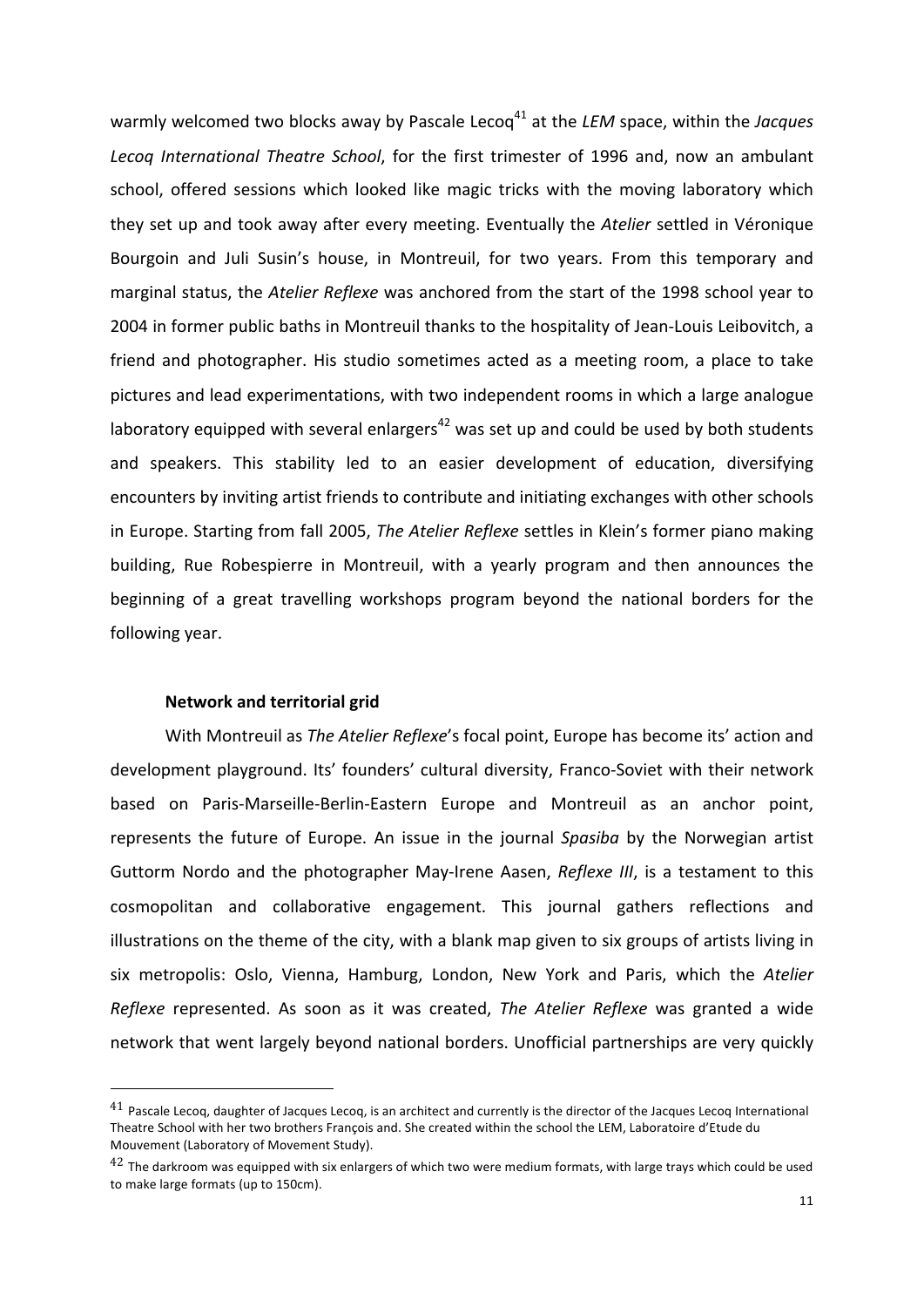warmly welcomed two blocks away by Pascale Lecoq<sup>41</sup> at the *LEM* space, within the *Jacques* Lecoq International Theatre School, for the first trimester of 1996 and, now an ambulant school, offered sessions which looked like magic tricks with the moving laboratory which they set up and took away after every meeting. Eventually the Atelier settled in Véronique Bourgoin and Juli Susin's house, in Montreuil, for two years. From this temporary and marginal status, the *Atelier Reflexe* was anchored from the start of the 1998 school year to 2004 in former public baths in Montreuil thanks to the hospitality of Jean-Louis Leibovitch, a friend and photographer. His studio sometimes acted as a meeting room, a place to take pictures and lead experimentations, with two independent rooms in which a large analogue laboratory equipped with several enlargers<sup>42</sup> was set up and could be used by both students and speakers. This stability led to an easier development of education, diversifying encounters by inviting artist friends to contribute and initiating exchanges with other schools in Europe. Starting from fall 2005, *The Atelier Reflexe* settles in Klein's former piano making building, Rue Robespierre in Montreuil, with a yearly program and then announces the beginning of a great travelling workshops program beyond the national borders for the following year.

## **Network and territorial grid**

 $\overline{a}$ 

With Montreuil as *The Atelier Reflexe's* focal point, Europe has become its' action and development playground. Its' founders' cultural diversity, Franco-Soviet with their network based on Paris-Marseille-Berlin-Eastern Europe and Montreuil as an anchor point, represents the future of Europe. An issue in the journal Spasiba by the Norwegian artist Guttorm Nordo and the photographer May-Irene Aasen, *Reflexe III*, is a testament to this cosmopolitan and collaborative engagement. This journal gathers reflections and illustrations on the theme of the city, with a blank map given to six groups of artists living in six metropolis: Oslo, Vienna, Hamburg, London, New York and Paris, which the Atelier *Reflexe* represented. As soon as it was created, *The Atelier Reflexe* was granted a wide network that went largely beyond national borders. Unofficial partnerships are very quickly

 $41$  Pascale Lecoq, daughter of Jacques Lecoq, is an architect and currently is the director of the Jacques Lecoq International Theatre School with her two brothers François and. She created within the school the LEM, Laboratoire d'Etude du Mouvement (Laboratory of Movement Study).

 $42$  The darkroom was equipped with six enlargers of which two were medium formats, with large trays which could be used to make large formats (up to 150cm).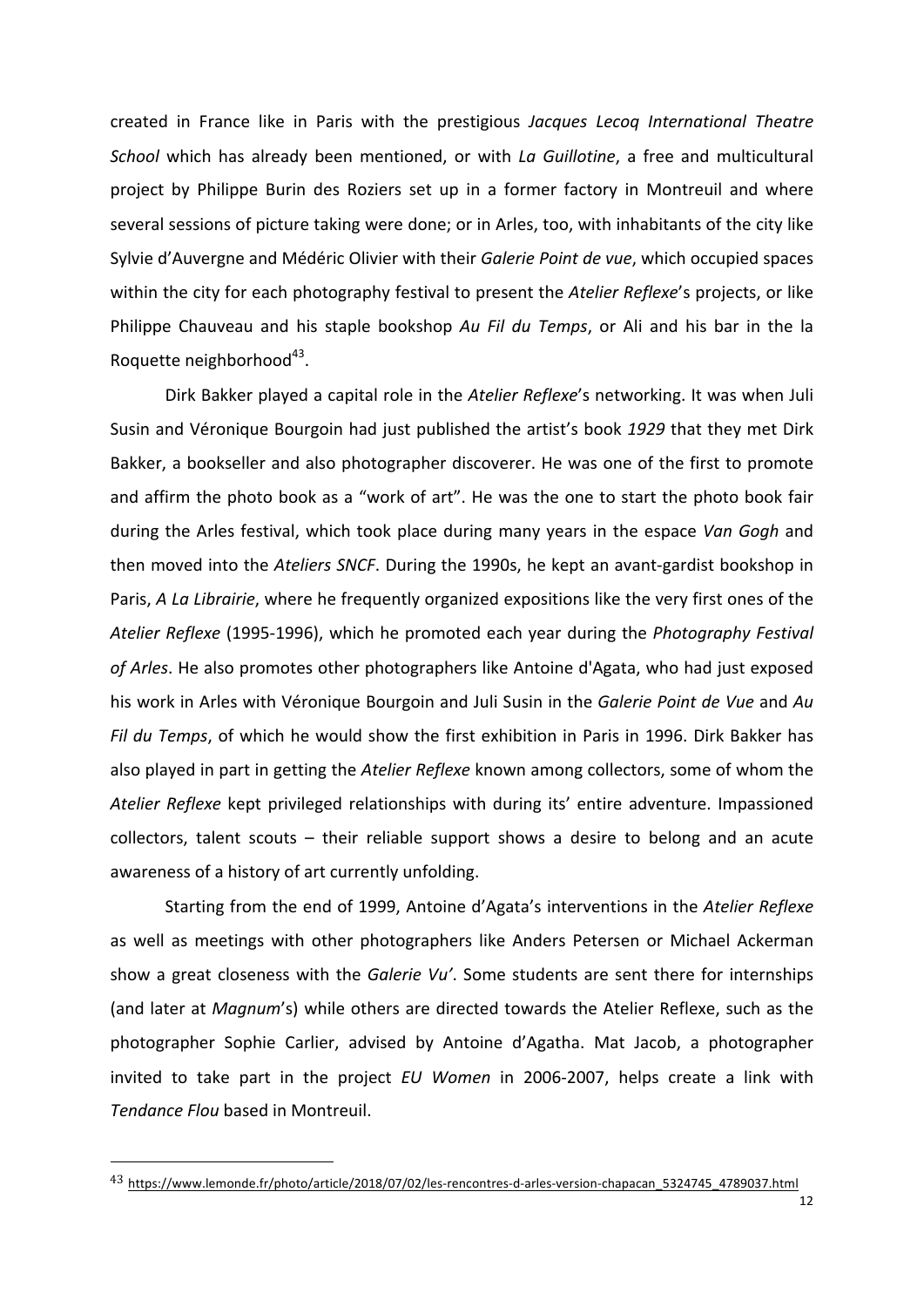created in France like in Paris with the prestigious *Jacques Lecoq International Theatre School* which has already been mentioned, or with *La Guillotine*, a free and multicultural project by Philippe Burin des Roziers set up in a former factory in Montreuil and where several sessions of picture taking were done; or in Arles, too, with inhabitants of the city like Sylvie d'Auvergne and Médéric Olivier with their *Galerie Point de vue*, which occupied spaces within the city for each photography festival to present the Atelier Reflexe's projects, or like Philippe Chauveau and his staple bookshop Au Fil du Temps, or Ali and his bar in the la Roquette neighborhood $43$ .

Dirk Bakker played a capital role in the Atelier Reflexe's networking. It was when Juli Susin and Véronique Bourgoin had just published the artist's book 1929 that they met Dirk Bakker, a bookseller and also photographer discoverer. He was one of the first to promote and affirm the photo book as a "work of art". He was the one to start the photo book fair during the Arles festival, which took place during many years in the espace *Van Gogh* and then moved into the *Ateliers SNCF*. During the 1990s, he kept an avant-gardist bookshop in Paris, A La Librairie, where he frequently organized expositions like the very first ones of the Atelier Reflexe (1995-1996), which he promoted each year during the *Photography Festival* of Arles. He also promotes other photographers like Antoine d'Agata, who had just exposed his work in Arles with Véronique Bourgoin and Juli Susin in the *Galerie Point de Vue* and Au *Fil du Temps*, of which he would show the first exhibition in Paris in 1996. Dirk Bakker has also played in part in getting the *Atelier Reflexe* known among collectors, some of whom the *Atelier Reflexe* kept privileged relationships with during its' entire adventure. Impassioned collectors, talent scouts  $-$  their reliable support shows a desire to belong and an acute awareness of a history of art currently unfolding.

Starting from the end of 1999, Antoine d'Agata's interventions in the Atelier Reflexe as well as meetings with other photographers like Anders Petersen or Michael Ackerman show a great closeness with the *Galerie Vu'*. Some students are sent there for internships (and later at *Magnum's*) while others are directed towards the Atelier Reflexe, such as the photographer Sophie Carlier, advised by Antoine d'Agatha. Mat Jacob, a photographer invited to take part in the project *EU Women* in 2006-2007, helps create a link with *Tendance Flou* based in Montreuil.

<sup>&</sup>lt;sup>43</sup> https://www.lemonde.fr/photo/article/2018/07/02/les-rencontres-d-arles-version-chapacan\_5324745\_4789037.html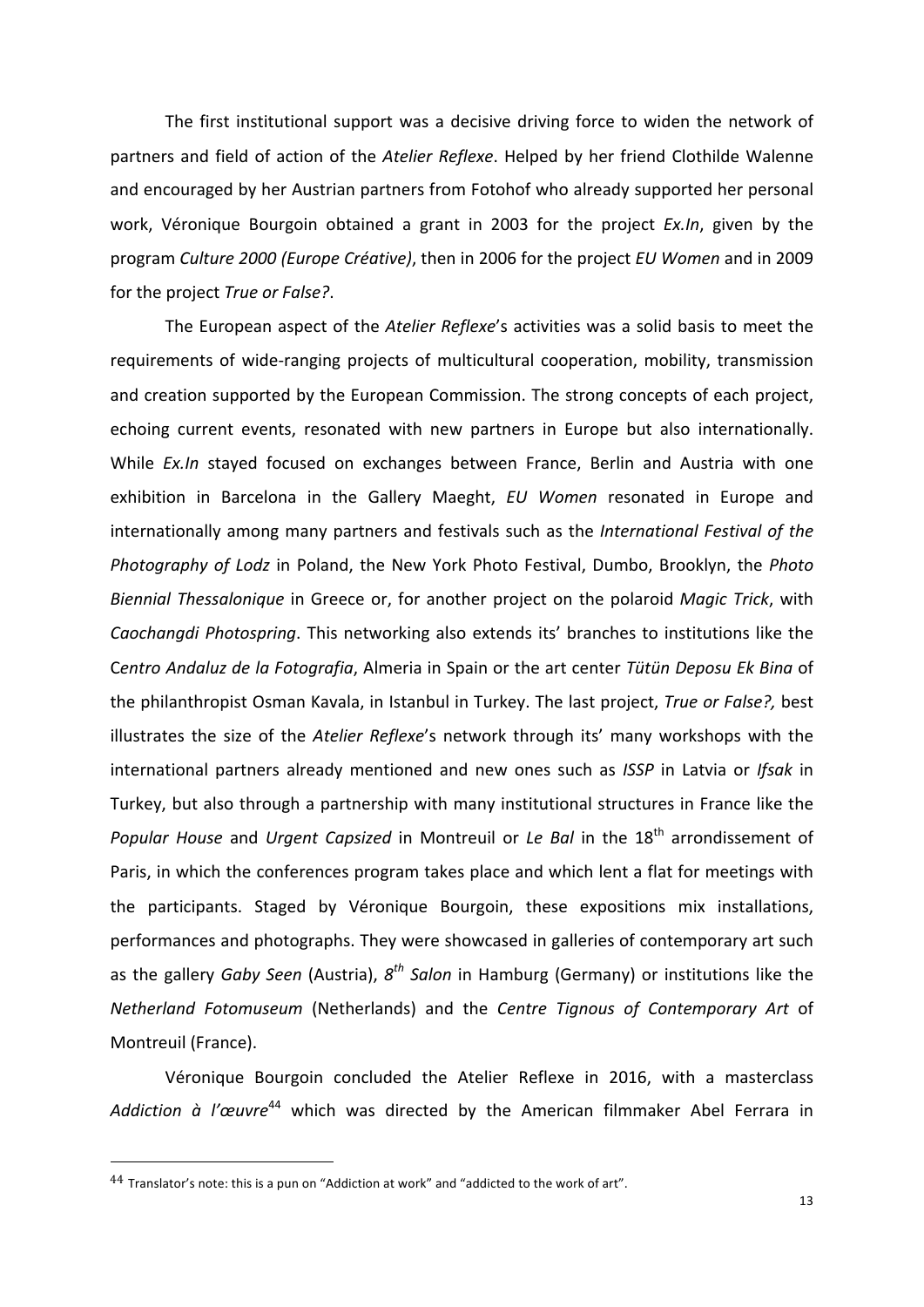The first institutional support was a decisive driving force to widen the network of partners and field of action of the *Atelier Reflexe*. Helped by her friend Clothilde Walenne and encouraged by her Austrian partners from Fotohof who already supported her personal work, Véronique Bourgoin obtained a grant in 2003 for the project *Ex.In*, given by the program *Culture 2000 (Europe Créative)*, then in 2006 for the project *EU Women* and in 2009 for the project True or False?.

The European aspect of the *Atelier Reflexe's* activities was a solid basis to meet the requirements of wide-ranging projects of multicultural cooperation, mobility, transmission and creation supported by the European Commission. The strong concepts of each project, echoing current events, resonated with new partners in Europe but also internationally. While *Ex.In* stayed focused on exchanges between France, Berlin and Austria with one exhibition in Barcelona in the Gallery Maeght, *EU Women* resonated in Europe and internationally among many partners and festivals such as the *International Festival of the Photography of Lodz* in Poland, the New York Photo Festival, Dumbo, Brooklyn, the *Photo Biennial Thessalonique* in Greece or, for another project on the polaroid *Magic Trick*, with *Caochangdi Photospring*. This networking also extends its' branches to institutions like the Centro Andaluz de la Fotografia, Almeria in Spain or the art center Tütün Deposu Ek Bina of the philanthropist Osman Kavala, in Istanbul in Turkey. The last project, *True or False?*, best illustrates the size of the *Atelier Reflexe's* network through its' many workshops with the international partners already mentioned and new ones such as *ISSP* in Latvia or *Ifsak* in Turkey, but also through a partnership with many institutional structures in France like the *Popular House* and *Urgent Capsized* in Montreuil or *Le Bal* in the 18<sup>th</sup> arrondissement of Paris, in which the conferences program takes place and which lent a flat for meetings with the participants. Staged by Véronique Bourgoin, these expositions mix installations, performances and photographs. They were showcased in galleries of contemporary art such as the gallery *Gaby Seen* (Austria),  $8^{th}$  *Salon* in Hamburg (Germany) or institutions like the *Netherland Fotomuseum* (Netherlands) and the *Centre Tignous of Contemporary Art* of Montreuil (France).

Véronique Bourgoin concluded the Atelier Reflexe in 2016, with a masterclass Addiction à l'œuvre<sup>44</sup> which was directed by the American filmmaker Abel Ferrara in

 $44$  Translator's note: this is a pun on "Addiction at work" and "addicted to the work of art".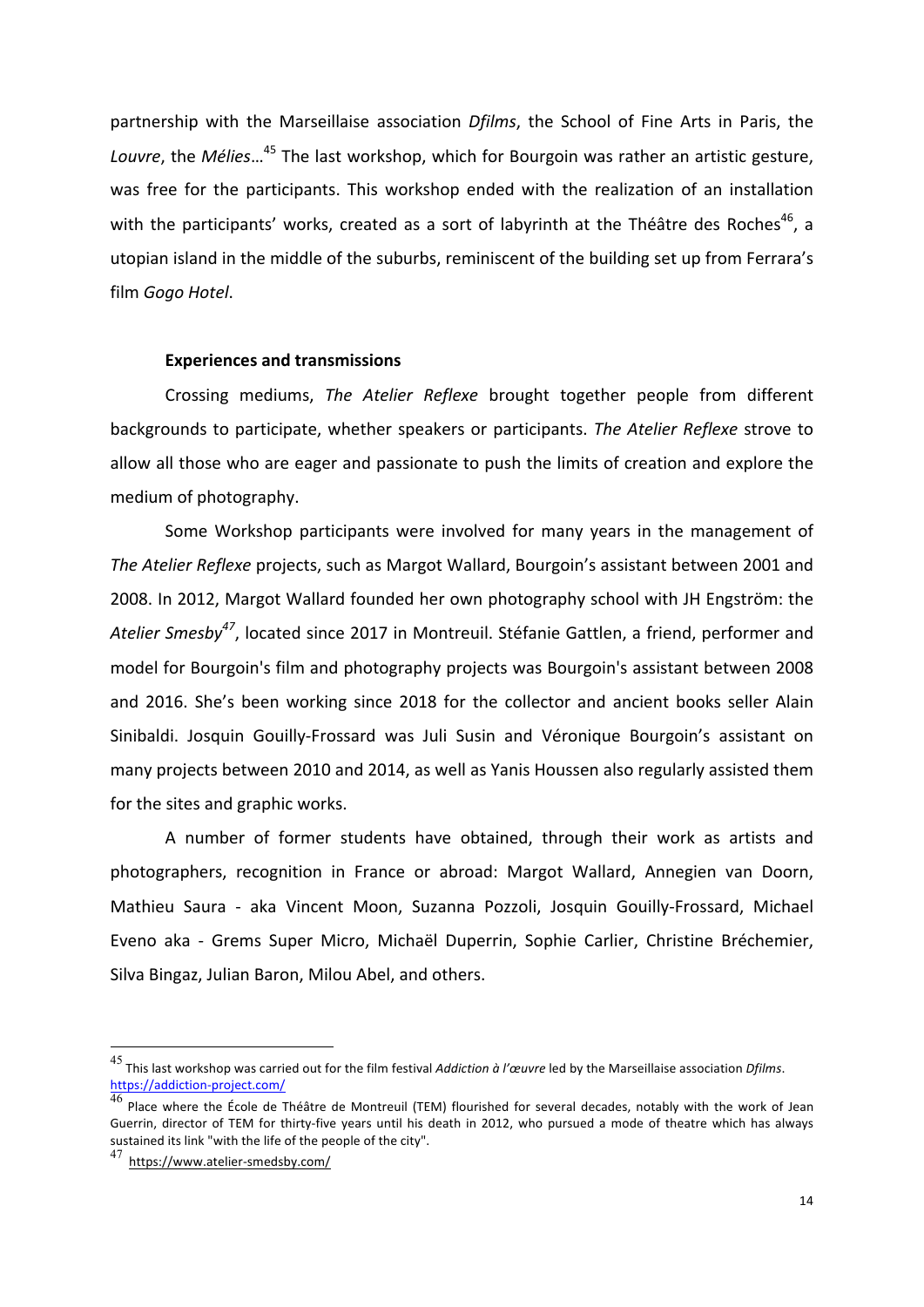partnership with the Marseillaise association *Dfilms*, the School of Fine Arts in Paris, the *Louvre*, the *Mélies*...<sup>45</sup> The last workshop, which for Bourgoin was rather an artistic gesture, was free for the participants. This workshop ended with the realization of an installation with the participants' works, created as a sort of labyrinth at the Théâtre des Roches<sup>46</sup>, a utopian island in the middle of the suburbs, reminiscent of the building set up from Ferrara's film Gogo Hotel.

#### **Experiences and transmissions**

Crossing mediums, The Atelier Reflexe brought together people from different backgrounds to participate, whether speakers or participants. The Atelier Reflexe strove to allow all those who are eager and passionate to push the limits of creation and explore the medium of photography.

Some Workshop participants were involved for many years in the management of The Atelier Reflexe projects, such as Margot Wallard, Bourgoin's assistant between 2001 and 2008. In 2012, Margot Wallard founded her own photography school with JH Engström: the Atelier Smesby<sup>47</sup>, located since 2017 in Montreuil. Stéfanie Gattlen, a friend, performer and model for Bourgoin's film and photography projects was Bourgoin's assistant between 2008 and 2016. She's been working since 2018 for the collector and ancient books seller Alain Sinibaldi. Josquin Gouilly-Frossard was Juli Susin and Véronique Bourgoin's assistant on many projects between 2010 and 2014, as well as Yanis Houssen also regularly assisted them for the sites and graphic works.

A number of former students have obtained, through their work as artists and photographers, recognition in France or abroad: Margot Wallard, Annegien van Doorn, Mathieu Saura - aka Vincent Moon, Suzanna Pozzoli, Josquin Gouilly-Frossard, Michael Eveno aka - Grems Super Micro, Michaël Duperrin, Sophie Carlier, Christine Bréchemier, Silva Bingaz, Julian Baron, Milou Abel, and others.

<sup>45</sup> This last workshop was carried out for the film festival *Addiction à l'œuvre* led by the Marseillaise association *Dfilms*. https://addiction-project.com/

Place where the École de Théâtre de Montreuil (TEM) flourished for several decades, notably with the work of Jean Guerrin, director of TEM for thirty-five years until his death in 2012, who pursued a mode of theatre which has always sustained its link "with the life of the people of the city".

<sup>47</sup> https://www.atelier-smedsby.com/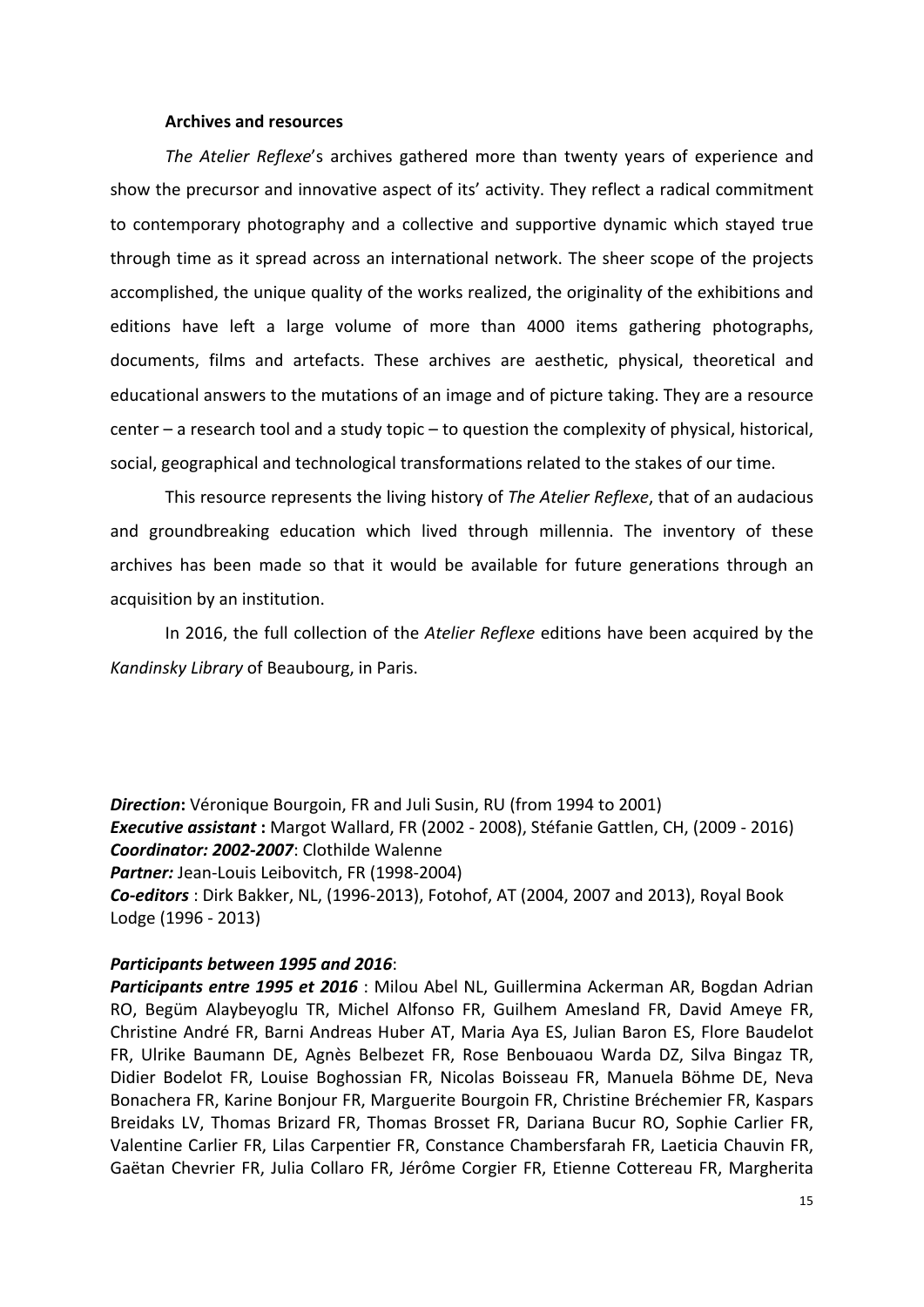## **Archives and resources**

The Atelier Reflexe's archives gathered more than twenty years of experience and show the precursor and innovative aspect of its' activity. They reflect a radical commitment to contemporary photography and a collective and supportive dynamic which stayed true through time as it spread across an international network. The sheer scope of the projects accomplished, the unique quality of the works realized, the originality of the exhibitions and editions have left a large volume of more than 4000 items gathering photographs, documents, films and artefacts. These archives are aesthetic, physical, theoretical and educational answers to the mutations of an image and of picture taking. They are a resource center  $-$  a research tool and a study topic  $-$  to question the complexity of physical, historical, social, geographical and technological transformations related to the stakes of our time.

This resource represents the living history of *The Atelier Reflexe*, that of an audacious and groundbreaking education which lived through millennia. The inventory of these archives has been made so that it would be available for future generations through an acquisition by an institution.

In 2016, the full collection of the *Atelier Reflexe* editions have been acquired by the *Kandinsky Library* of Beaubourg, in Paris.

**Direction:** Véronique Bourgoin, FR and Juli Susin, RU (from 1994 to 2001) **Executive assistant**: Margot Wallard, FR (2002 - 2008), Stéfanie Gattlen, CH, (2009 - 2016) Coordinator: 2002-2007: Clothilde Walenne Partner: Jean-Louis Leibovitch, FR (1998-2004) **Co-editors**: Dirk Bakker, NL, (1996-2013), Fotohof, AT (2004, 2007 and 2013), Royal Book Lodge (1996 - 2013)

## *Participants between 1995 and 2016*:

Participants entre 1995 et 2016 : Milou Abel NL, Guillermina Ackerman AR, Bogdan Adrian RO, Begüm Alaybeyoglu TR, Michel Alfonso FR, Guilhem Amesland FR, David Ameye FR, Christine André FR, Barni Andreas Huber AT, Maria Aya ES, Julian Baron ES, Flore Baudelot FR, Ulrike Baumann DE, Agnès Belbezet FR, Rose Benbouaou Warda DZ, Silva Bingaz TR, Didier Bodelot FR, Louise Boghossian FR, Nicolas Boisseau FR, Manuela Böhme DE, Neva Bonachera FR, Karine Bonjour FR, Marguerite Bourgoin FR, Christine Bréchemier FR, Kaspars Breidaks LV, Thomas Brizard FR, Thomas Brosset FR, Dariana Bucur RO, Sophie Carlier FR, Valentine Carlier FR, Lilas Carpentier FR, Constance Chambersfarah FR, Laeticia Chauvin FR, Gaëtan Chevrier FR, Julia Collaro FR, Jérôme Corgier FR, Etienne Cottereau FR, Margherita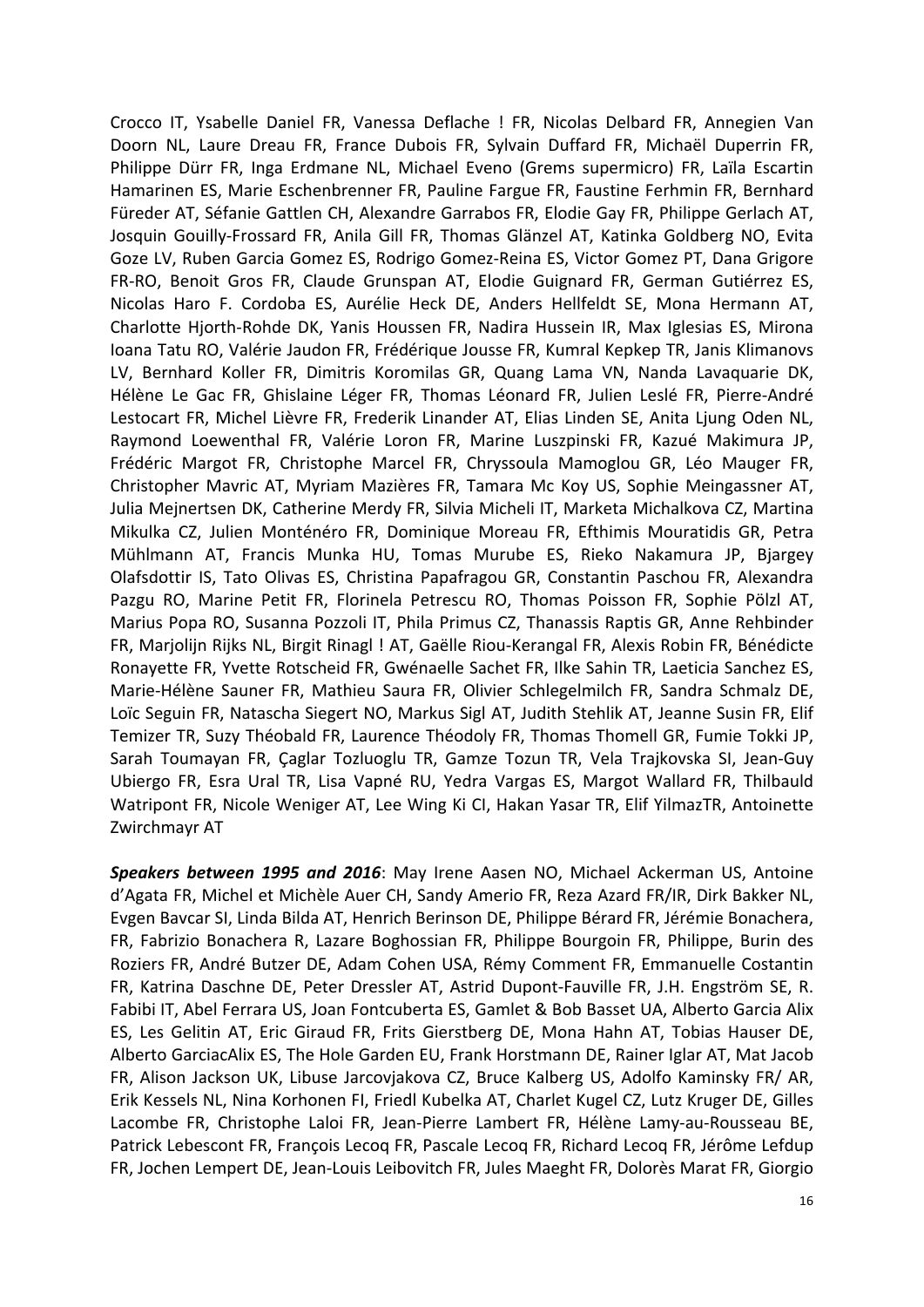Crocco IT, Ysabelle Daniel FR, Vanessa Deflache ! FR, Nicolas Delbard FR, Annegien Van Doorn NL, Laure Dreau FR, France Dubois FR, Sylvain Duffard FR, Michaël Duperrin FR, Philippe Dürr FR, Inga Erdmane NL, Michael Eveno (Grems supermicro) FR, Laïla Escartin Hamarinen ES, Marie Eschenbrenner FR, Pauline Fargue FR, Faustine Ferhmin FR, Bernhard Füreder AT, Séfanie Gattlen CH, Alexandre Garrabos FR, Elodie Gay FR, Philippe Gerlach AT, Josquin Gouilly-Frossard FR, Anila Gill FR, Thomas Glänzel AT, Katinka Goldberg NO, Evita Goze LV, Ruben Garcia Gomez ES, Rodrigo Gomez-Reina ES, Victor Gomez PT, Dana Grigore FR-RO, Benoit Gros FR, Claude Grunspan AT, Elodie Guignard FR, German Gutiérrez ES, Nicolas Haro F. Cordoba ES, Aurélie Heck DE, Anders Hellfeldt SE, Mona Hermann AT, Charlotte Hjorth-Rohde DK, Yanis Houssen FR, Nadira Hussein IR, Max Iglesias ES, Mirona Ioana Tatu RO, Valérie Jaudon FR, Frédérique Jousse FR, Kumral Kepkep TR, Janis Klimanovs LV, Bernhard Koller FR, Dimitris Koromilas GR, Quang Lama VN, Nanda Lavaquarie DK, Hélène Le Gac FR, Ghislaine Léger FR, Thomas Léonard FR, Julien Leslé FR, Pierre-André Lestocart FR, Michel Lièvre FR, Frederik Linander AT, Elias Linden SE, Anita Ljung Oden NL, Raymond Loewenthal FR, Valérie Loron FR, Marine Luszpinski FR, Kazué Makimura JP, Frédéric Margot FR, Christophe Marcel FR, Chryssoula Mamoglou GR, Léo Mauger FR, Christopher Mavric AT, Myriam Mazières FR, Tamara Mc Koy US, Sophie Meingassner AT, Julia Mejnertsen DK, Catherine Merdy FR, Silvia Micheli IT, Marketa Michalkova CZ, Martina Mikulka CZ, Julien Monténéro FR, Dominique Moreau FR, Efthimis Mouratidis GR, Petra Mühlmann AT, Francis Munka HU, Tomas Murube ES, Rieko Nakamura JP, Bjargey Olafsdottir IS, Tato Olivas ES, Christina Papafragou GR, Constantin Paschou FR, Alexandra Pazgu RO, Marine Petit FR, Florinela Petrescu RO, Thomas Poisson FR, Sophie Pölzl AT, Marius Popa RO, Susanna Pozzoli IT, Phila Primus CZ, Thanassis Raptis GR, Anne Rehbinder FR, Marjolijn Rijks NL, Birgit Rinagl ! AT, Gaëlle Riou-Kerangal FR, Alexis Robin FR, Bénédicte Ronayette FR, Yvette Rotscheid FR, Gwénaelle Sachet FR, Ilke Sahin TR, Laeticia Sanchez ES, Marie-Hélène Sauner FR, Mathieu Saura FR, Olivier Schlegelmilch FR, Sandra Schmalz DE, Loïc Seguin FR, Natascha Siegert NO, Markus Sigl AT, Judith Stehlik AT, Jeanne Susin FR, Elif Temizer TR, Suzy Théobald FR, Laurence Théodoly FR, Thomas Thomell GR, Fumie Tokki JP, Sarah Toumayan FR, Çaglar Tozluoglu TR, Gamze Tozun TR, Vela Trajkovska SI, Jean-Guy Ubiergo FR, Esra Ural TR, Lisa Vapné RU, Yedra Vargas ES, Margot Wallard FR, Thilbauld Watripont FR, Nicole Weniger AT, Lee Wing Ki CI, Hakan Yasar TR, Elif YilmazTR, Antoinette Zwirchmayr AT

**Speakers between 1995 and 2016**: May Irene Aasen NO, Michael Ackerman US, Antoine d'Agata FR, Michel et Michèle Auer CH, Sandy Amerio FR, Reza Azard FR/IR, Dirk Bakker NL, Evgen Bavcar SI, Linda Bilda AT, Henrich Berinson DE, Philippe Bérard FR, Jérémie Bonachera, FR, Fabrizio Bonachera R, Lazare Boghossian FR, Philippe Bourgoin FR, Philippe, Burin des Roziers FR, André Butzer DE, Adam Cohen USA, Rémy Comment FR, Emmanuelle Costantin FR, Katrina Daschne DE, Peter Dressler AT, Astrid Dupont-Fauville FR, J.H. Engström SE, R. Fabibi IT, Abel Ferrara US, Joan Fontcuberta ES, Gamlet & Bob Basset UA, Alberto Garcia Alix ES, Les Gelitin AT, Eric Giraud FR, Frits Gierstberg DE, Mona Hahn AT, Tobias Hauser DE, Alberto GarciacAlix ES, The Hole Garden EU, Frank Horstmann DE, Rainer Iglar AT, Mat Jacob FR, Alison Jackson UK, Libuse Jarcovjakova CZ, Bruce Kalberg US, Adolfo Kaminsky FR/ AR, Erik Kessels NL, Nina Korhonen FI, Friedl Kubelka AT, Charlet Kugel CZ, Lutz Kruger DE, Gilles Lacombe FR, Christophe Laloi FR, Jean-Pierre Lambert FR, Hélène Lamy-au-Rousseau BE, Patrick Lebescont FR, François Lecoq FR, Pascale Lecoq FR, Richard Lecoq FR, Jérôme Lefdup FR, Jochen Lempert DE, Jean-Louis Leibovitch FR, Jules Maeght FR, Dolorès Marat FR, Giorgio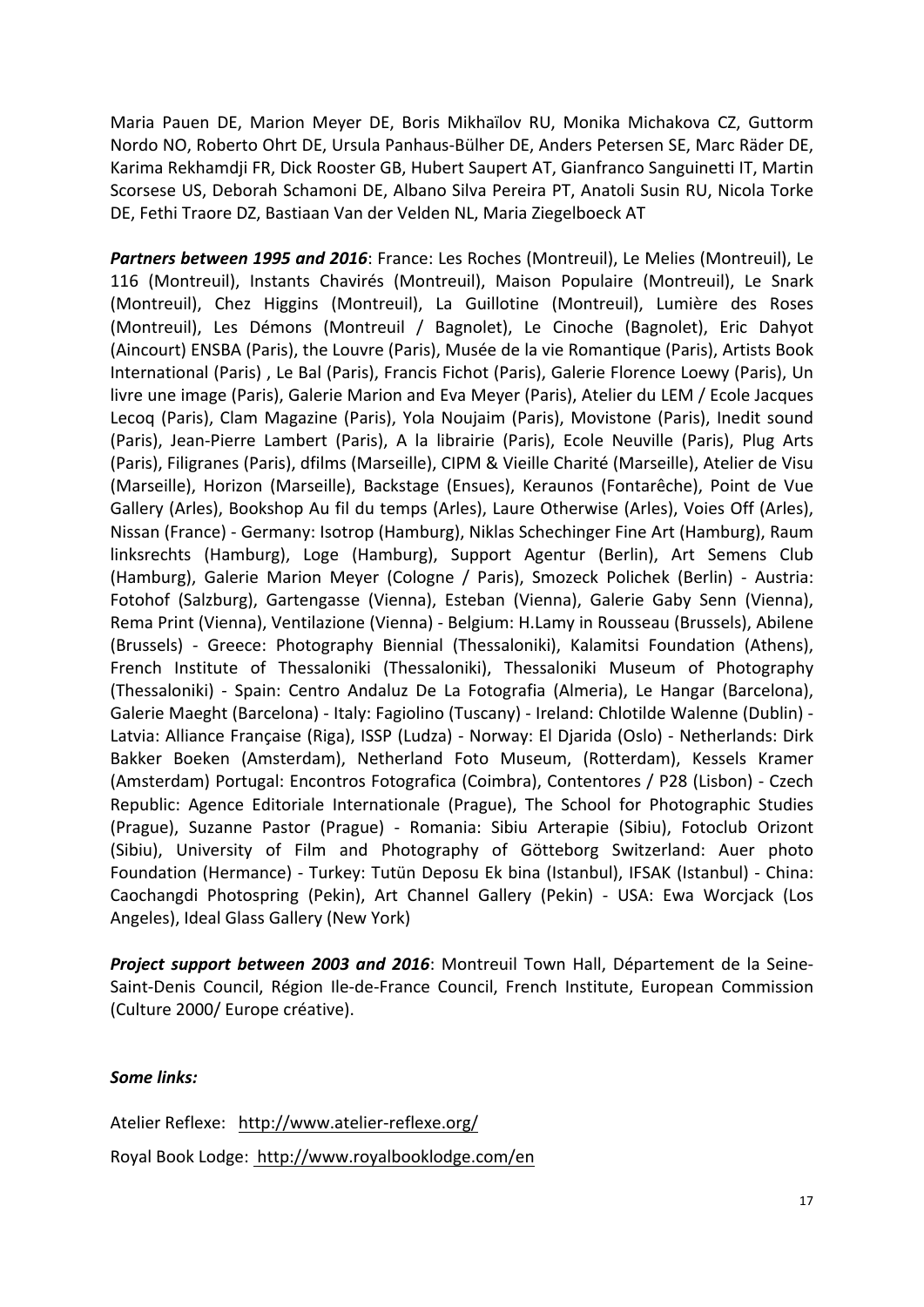Maria Pauen DE, Marion Meyer DE, Boris Mikhaïlov RU, Monika Michakova CZ, Guttorm Nordo NO, Roberto Ohrt DE, Ursula Panhaus-Bülher DE, Anders Petersen SE, Marc Räder DE, Karima Rekhamdji FR, Dick Rooster GB, Hubert Saupert AT, Gianfranco Sanguinetti IT, Martin Scorsese US, Deborah Schamoni DE, Albano Silva Pereira PT, Anatoli Susin RU, Nicola Torke DE, Fethi Traore DZ, Bastiaan Van der Velden NL, Maria Ziegelboeck AT

Partners between 1995 and 2016: France: Les Roches (Montreuil), Le Melies (Montreuil), Le 116 (Montreuil), Instants Chavirés (Montreuil), Maison Populaire (Montreuil), Le Snark (Montreuil), Chez Higgins (Montreuil), La Guillotine (Montreuil), Lumière des Roses (Montreuil), Les Démons (Montreuil / Bagnolet), Le Cinoche (Bagnolet), Eric Dahyot (Aincourt) ENSBA (Paris), the Louvre (Paris), Musée de la vie Romantique (Paris), Artists Book International (Paris), Le Bal (Paris), Francis Fichot (Paris), Galerie Florence Loewy (Paris), Un livre une image (Paris), Galerie Marion and Eva Meyer (Paris), Atelier du LEM / Ecole Jacques Lecoq (Paris), Clam Magazine (Paris), Yola Noujaim (Paris), Movistone (Paris), Inedit sound (Paris), Jean-Pierre Lambert (Paris), A la librairie (Paris), Ecole Neuville (Paris), Plug Arts (Paris), Filigranes (Paris), dfilms (Marseille), CIPM & Vieille Charité (Marseille), Atelier de Visu (Marseille), Horizon (Marseille), Backstage (Ensues), Keraunos (Fontarêche), Point de Vue Gallery (Arles), Bookshop Au fil du temps (Arles), Laure Otherwise (Arles), Voies Off (Arles), Nissan (France) - Germany: Isotrop (Hamburg), Niklas Schechinger Fine Art (Hamburg), Raum linksrechts (Hamburg), Loge (Hamburg), Support Agentur (Berlin), Art Semens Club (Hamburg), Galerie Marion Meyer (Cologne / Paris), Smozeck Polichek (Berlin) - Austria: Fotohof (Salzburg), Gartengasse (Vienna), Esteban (Vienna), Galerie Gaby Senn (Vienna), Rema Print (Vienna), Ventilazione (Vienna) - Belgium: H.Lamy in Rousseau (Brussels), Abilene (Brussels) - Greece: Photography Biennial (Thessaloniki), Kalamitsi Foundation (Athens), French Institute of Thessaloniki (Thessaloniki), Thessaloniki Museum of Photography (Thessaloniki) - Spain: Centro Andaluz De La Fotografia (Almeria), Le Hangar (Barcelona), Galerie Maeght (Barcelona) - Italy: Fagiolino (Tuscany) - Ireland: Chlotilde Walenne (Dublin) -Latvia: Alliance Française (Riga), ISSP (Ludza) - Norway: El Djarida (Oslo) - Netherlands: Dirk Bakker Boeken (Amsterdam), Netherland Foto Museum, (Rotterdam), Kessels Kramer (Amsterdam) Portugal: Encontros Fotografica (Coimbra), Contentores / P28 (Lisbon) - Czech Republic: Agence Editoriale Internationale (Prague), The School for Photographic Studies (Prague), Suzanne Pastor (Prague) - Romania: Sibiu Arterapie (Sibiu), Fotoclub Orizont (Sibiu), University of Film and Photography of Götteborg Switzerland: Auer photo Foundation (Hermance) - Turkey: Tutün Deposu Ek bina (Istanbul), IFSAK (Istanbul) - China: Caochangdi Photospring (Pekin), Art Channel Gallery (Pekin) - USA: Ewa Worcjack (Los Angeles), Ideal Glass Gallery (New York)

**Project support between 2003 and 2016**: Montreuil Town Hall, Département de la Seine-Saint-Denis Council, Région Ile-de-France Council, French Institute, European Commission (Culture 2000/ Europe créative).

# Some links:

Atelier Reflexe: http://www.atelier-reflexe.org/ Royal Book Lodge: http://www.royalbooklodge.com/en